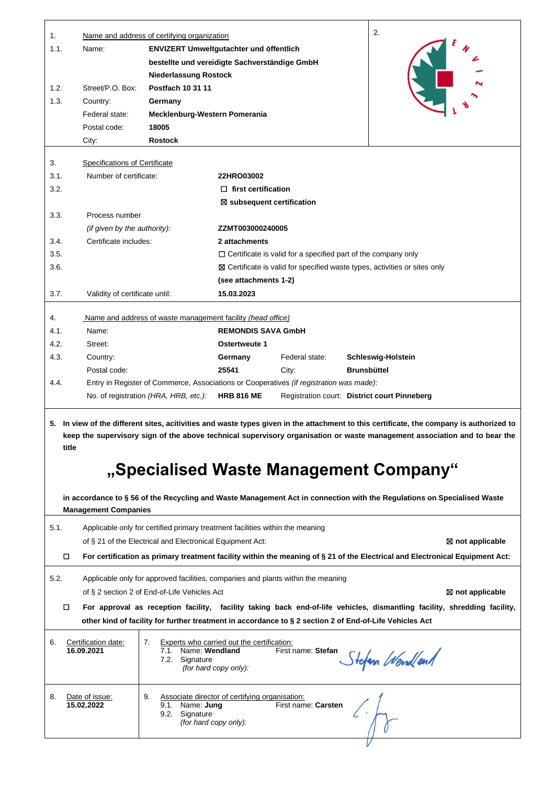| bestellte und vereidigte Sachverständige GmbH<br><b>Niederlassung Rostock</b><br>Postfach 10 31 11<br>Street/P.O. Box:<br>1.2.<br>1.3.<br>Country:<br>Germany<br>Federal state:<br>Mecklenburg-Western Pomerania<br>18005<br>Postal code:<br>City:<br><b>Rostock</b><br><b>Specifications of Certificate</b><br>3.<br>3.1.<br>Number of certificate:<br>22HRO03002<br>3.2.<br>$\Box$ first certification<br>$\boxtimes$ subsequent certification<br>3.3.<br>Process number<br>(if given by the authority):<br>ZZMT003000240005<br>Certificate includes:<br>2 attachments<br>3.4.<br>3.5.<br>$\Box$ Certificate is valid for a specified part of the company only<br>3.6.<br>⊠ Certificate is valid for specified waste types, activities or sites only<br>(see attachments 1-2)<br>3.7.<br>Validity of certificate until:<br>15.03.2023<br>4.<br>Name and address of waste management facility (head office)<br><b>REMONDIS SAVA GmbH</b><br>4.1.<br>Name:<br>4.2.<br>Street:<br>Ostertweute 1<br>4.3.<br>Country:<br>Germany<br>Federal state:<br>Schleswig-Holstein<br>Postal code:<br>25541<br>City:<br>Brunsbüttel<br>Entry in Register of Commerce, Associations or Cooperatives (if registration was made):<br>4.4.<br>No. of registration (HRA, HRB, etc.):<br><b>HRB 816 ME</b><br>Registration court: District court Pinneberg<br>5. In view of the different sites, acitivities and waste types given in the attachment to this certificate, the company is authorized to<br>keep the supervisory sign of the above technical supervisory organisation or waste management association and to bear the<br>title<br>"Specialised Waste Management Company"<br>in accordance to § 56 of the Recycling and Waste Management Act in connection with the Regulations on Specialised Waste<br><b>Management Companies</b><br>5.1.<br>Applicable only for certified primary treatment facilities within the meaning<br>of § 21 of the Electrical and Electronical Equipment Act:<br>⊠ not applicable<br>$\Box$<br>For certification as primary treatment facility within the meaning of § 21 of the Electrical and Electronical Equipment Act:<br>5.2.<br>Applicable only for approved facilities, companies and plants within the meaning<br>of § 2 section 2 of End-of-Life Vehicles Act<br>⊠ not applicable<br>For approval as reception facility, facility taking back end-of-life vehicles, dismantling facility, shredding facility,<br>other kind of facility for further treatment in accordance to § 2 section 2 of End-of-Life Vehicles Act<br>6.<br>Certification date:<br>7.<br>Experts who carried out the certification:<br>Name: Wendland<br>16.09.2021<br>First name: Stefan<br>7.1.<br>Stefan Wendland<br>7.2. Signature<br>(for hard copy only):<br>8.<br>Date of issue:<br>9.<br>Associate director of certifying organisation:<br>15.02.2022<br>Name: Jung<br>First name: Carsten<br>9.1.<br>9.2. Signature<br>(for hard copy only): | 1.<br>1.1. | Name: | Name and address of certifying organization |  |  |  | 2. |
|-------------------------------------------------------------------------------------------------------------------------------------------------------------------------------------------------------------------------------------------------------------------------------------------------------------------------------------------------------------------------------------------------------------------------------------------------------------------------------------------------------------------------------------------------------------------------------------------------------------------------------------------------------------------------------------------------------------------------------------------------------------------------------------------------------------------------------------------------------------------------------------------------------------------------------------------------------------------------------------------------------------------------------------------------------------------------------------------------------------------------------------------------------------------------------------------------------------------------------------------------------------------------------------------------------------------------------------------------------------------------------------------------------------------------------------------------------------------------------------------------------------------------------------------------------------------------------------------------------------------------------------------------------------------------------------------------------------------------------------------------------------------------------------------------------------------------------------------------------------------------------------------------------------------------------------------------------------------------------------------------------------------------------------------------------------------------------------------------------------------------------------------------------------------------------------------------------------------------------------------------------------------------------------------------------------------------------------------------------------------------------------------------------------------------------------------------------------------------------------------------------------------------------------------------------------------------------------------------------------------------------------------------------------------------------------------------------------------------------------------------------------------------------------------------------------------------------------------------------------------------------------------------------------------------------------------------------------|------------|-------|---------------------------------------------|--|--|--|----|
|                                                                                                                                                                                                                                                                                                                                                                                                                                                                                                                                                                                                                                                                                                                                                                                                                                                                                                                                                                                                                                                                                                                                                                                                                                                                                                                                                                                                                                                                                                                                                                                                                                                                                                                                                                                                                                                                                                                                                                                                                                                                                                                                                                                                                                                                                                                                                                                                                                                                                                                                                                                                                                                                                                                                                                                                                                                                                                                                                             |            |       | ENVIZERT Umweltgutachter und öffentlich     |  |  |  |    |
|                                                                                                                                                                                                                                                                                                                                                                                                                                                                                                                                                                                                                                                                                                                                                                                                                                                                                                                                                                                                                                                                                                                                                                                                                                                                                                                                                                                                                                                                                                                                                                                                                                                                                                                                                                                                                                                                                                                                                                                                                                                                                                                                                                                                                                                                                                                                                                                                                                                                                                                                                                                                                                                                                                                                                                                                                                                                                                                                                             |            |       |                                             |  |  |  |    |
|                                                                                                                                                                                                                                                                                                                                                                                                                                                                                                                                                                                                                                                                                                                                                                                                                                                                                                                                                                                                                                                                                                                                                                                                                                                                                                                                                                                                                                                                                                                                                                                                                                                                                                                                                                                                                                                                                                                                                                                                                                                                                                                                                                                                                                                                                                                                                                                                                                                                                                                                                                                                                                                                                                                                                                                                                                                                                                                                                             |            |       |                                             |  |  |  |    |
|                                                                                                                                                                                                                                                                                                                                                                                                                                                                                                                                                                                                                                                                                                                                                                                                                                                                                                                                                                                                                                                                                                                                                                                                                                                                                                                                                                                                                                                                                                                                                                                                                                                                                                                                                                                                                                                                                                                                                                                                                                                                                                                                                                                                                                                                                                                                                                                                                                                                                                                                                                                                                                                                                                                                                                                                                                                                                                                                                             |            |       |                                             |  |  |  |    |
|                                                                                                                                                                                                                                                                                                                                                                                                                                                                                                                                                                                                                                                                                                                                                                                                                                                                                                                                                                                                                                                                                                                                                                                                                                                                                                                                                                                                                                                                                                                                                                                                                                                                                                                                                                                                                                                                                                                                                                                                                                                                                                                                                                                                                                                                                                                                                                                                                                                                                                                                                                                                                                                                                                                                                                                                                                                                                                                                                             |            |       |                                             |  |  |  |    |
|                                                                                                                                                                                                                                                                                                                                                                                                                                                                                                                                                                                                                                                                                                                                                                                                                                                                                                                                                                                                                                                                                                                                                                                                                                                                                                                                                                                                                                                                                                                                                                                                                                                                                                                                                                                                                                                                                                                                                                                                                                                                                                                                                                                                                                                                                                                                                                                                                                                                                                                                                                                                                                                                                                                                                                                                                                                                                                                                                             |            |       |                                             |  |  |  |    |
|                                                                                                                                                                                                                                                                                                                                                                                                                                                                                                                                                                                                                                                                                                                                                                                                                                                                                                                                                                                                                                                                                                                                                                                                                                                                                                                                                                                                                                                                                                                                                                                                                                                                                                                                                                                                                                                                                                                                                                                                                                                                                                                                                                                                                                                                                                                                                                                                                                                                                                                                                                                                                                                                                                                                                                                                                                                                                                                                                             |            |       |                                             |  |  |  |    |
|                                                                                                                                                                                                                                                                                                                                                                                                                                                                                                                                                                                                                                                                                                                                                                                                                                                                                                                                                                                                                                                                                                                                                                                                                                                                                                                                                                                                                                                                                                                                                                                                                                                                                                                                                                                                                                                                                                                                                                                                                                                                                                                                                                                                                                                                                                                                                                                                                                                                                                                                                                                                                                                                                                                                                                                                                                                                                                                                                             |            |       |                                             |  |  |  |    |
|                                                                                                                                                                                                                                                                                                                                                                                                                                                                                                                                                                                                                                                                                                                                                                                                                                                                                                                                                                                                                                                                                                                                                                                                                                                                                                                                                                                                                                                                                                                                                                                                                                                                                                                                                                                                                                                                                                                                                                                                                                                                                                                                                                                                                                                                                                                                                                                                                                                                                                                                                                                                                                                                                                                                                                                                                                                                                                                                                             |            |       |                                             |  |  |  |    |
|                                                                                                                                                                                                                                                                                                                                                                                                                                                                                                                                                                                                                                                                                                                                                                                                                                                                                                                                                                                                                                                                                                                                                                                                                                                                                                                                                                                                                                                                                                                                                                                                                                                                                                                                                                                                                                                                                                                                                                                                                                                                                                                                                                                                                                                                                                                                                                                                                                                                                                                                                                                                                                                                                                                                                                                                                                                                                                                                                             |            |       |                                             |  |  |  |    |
|                                                                                                                                                                                                                                                                                                                                                                                                                                                                                                                                                                                                                                                                                                                                                                                                                                                                                                                                                                                                                                                                                                                                                                                                                                                                                                                                                                                                                                                                                                                                                                                                                                                                                                                                                                                                                                                                                                                                                                                                                                                                                                                                                                                                                                                                                                                                                                                                                                                                                                                                                                                                                                                                                                                                                                                                                                                                                                                                                             |            |       |                                             |  |  |  |    |
|                                                                                                                                                                                                                                                                                                                                                                                                                                                                                                                                                                                                                                                                                                                                                                                                                                                                                                                                                                                                                                                                                                                                                                                                                                                                                                                                                                                                                                                                                                                                                                                                                                                                                                                                                                                                                                                                                                                                                                                                                                                                                                                                                                                                                                                                                                                                                                                                                                                                                                                                                                                                                                                                                                                                                                                                                                                                                                                                                             |            |       |                                             |  |  |  |    |
|                                                                                                                                                                                                                                                                                                                                                                                                                                                                                                                                                                                                                                                                                                                                                                                                                                                                                                                                                                                                                                                                                                                                                                                                                                                                                                                                                                                                                                                                                                                                                                                                                                                                                                                                                                                                                                                                                                                                                                                                                                                                                                                                                                                                                                                                                                                                                                                                                                                                                                                                                                                                                                                                                                                                                                                                                                                                                                                                                             |            |       |                                             |  |  |  |    |
|                                                                                                                                                                                                                                                                                                                                                                                                                                                                                                                                                                                                                                                                                                                                                                                                                                                                                                                                                                                                                                                                                                                                                                                                                                                                                                                                                                                                                                                                                                                                                                                                                                                                                                                                                                                                                                                                                                                                                                                                                                                                                                                                                                                                                                                                                                                                                                                                                                                                                                                                                                                                                                                                                                                                                                                                                                                                                                                                                             |            |       |                                             |  |  |  |    |
|                                                                                                                                                                                                                                                                                                                                                                                                                                                                                                                                                                                                                                                                                                                                                                                                                                                                                                                                                                                                                                                                                                                                                                                                                                                                                                                                                                                                                                                                                                                                                                                                                                                                                                                                                                                                                                                                                                                                                                                                                                                                                                                                                                                                                                                                                                                                                                                                                                                                                                                                                                                                                                                                                                                                                                                                                                                                                                                                                             |            |       |                                             |  |  |  |    |
|                                                                                                                                                                                                                                                                                                                                                                                                                                                                                                                                                                                                                                                                                                                                                                                                                                                                                                                                                                                                                                                                                                                                                                                                                                                                                                                                                                                                                                                                                                                                                                                                                                                                                                                                                                                                                                                                                                                                                                                                                                                                                                                                                                                                                                                                                                                                                                                                                                                                                                                                                                                                                                                                                                                                                                                                                                                                                                                                                             |            |       |                                             |  |  |  |    |
|                                                                                                                                                                                                                                                                                                                                                                                                                                                                                                                                                                                                                                                                                                                                                                                                                                                                                                                                                                                                                                                                                                                                                                                                                                                                                                                                                                                                                                                                                                                                                                                                                                                                                                                                                                                                                                                                                                                                                                                                                                                                                                                                                                                                                                                                                                                                                                                                                                                                                                                                                                                                                                                                                                                                                                                                                                                                                                                                                             |            |       |                                             |  |  |  |    |
|                                                                                                                                                                                                                                                                                                                                                                                                                                                                                                                                                                                                                                                                                                                                                                                                                                                                                                                                                                                                                                                                                                                                                                                                                                                                                                                                                                                                                                                                                                                                                                                                                                                                                                                                                                                                                                                                                                                                                                                                                                                                                                                                                                                                                                                                                                                                                                                                                                                                                                                                                                                                                                                                                                                                                                                                                                                                                                                                                             |            |       |                                             |  |  |  |    |
|                                                                                                                                                                                                                                                                                                                                                                                                                                                                                                                                                                                                                                                                                                                                                                                                                                                                                                                                                                                                                                                                                                                                                                                                                                                                                                                                                                                                                                                                                                                                                                                                                                                                                                                                                                                                                                                                                                                                                                                                                                                                                                                                                                                                                                                                                                                                                                                                                                                                                                                                                                                                                                                                                                                                                                                                                                                                                                                                                             |            |       |                                             |  |  |  |    |
|                                                                                                                                                                                                                                                                                                                                                                                                                                                                                                                                                                                                                                                                                                                                                                                                                                                                                                                                                                                                                                                                                                                                                                                                                                                                                                                                                                                                                                                                                                                                                                                                                                                                                                                                                                                                                                                                                                                                                                                                                                                                                                                                                                                                                                                                                                                                                                                                                                                                                                                                                                                                                                                                                                                                                                                                                                                                                                                                                             |            |       |                                             |  |  |  |    |
|                                                                                                                                                                                                                                                                                                                                                                                                                                                                                                                                                                                                                                                                                                                                                                                                                                                                                                                                                                                                                                                                                                                                                                                                                                                                                                                                                                                                                                                                                                                                                                                                                                                                                                                                                                                                                                                                                                                                                                                                                                                                                                                                                                                                                                                                                                                                                                                                                                                                                                                                                                                                                                                                                                                                                                                                                                                                                                                                                             |            |       |                                             |  |  |  |    |
|                                                                                                                                                                                                                                                                                                                                                                                                                                                                                                                                                                                                                                                                                                                                                                                                                                                                                                                                                                                                                                                                                                                                                                                                                                                                                                                                                                                                                                                                                                                                                                                                                                                                                                                                                                                                                                                                                                                                                                                                                                                                                                                                                                                                                                                                                                                                                                                                                                                                                                                                                                                                                                                                                                                                                                                                                                                                                                                                                             |            |       |                                             |  |  |  |    |
|                                                                                                                                                                                                                                                                                                                                                                                                                                                                                                                                                                                                                                                                                                                                                                                                                                                                                                                                                                                                                                                                                                                                                                                                                                                                                                                                                                                                                                                                                                                                                                                                                                                                                                                                                                                                                                                                                                                                                                                                                                                                                                                                                                                                                                                                                                                                                                                                                                                                                                                                                                                                                                                                                                                                                                                                                                                                                                                                                             |            |       |                                             |  |  |  |    |
|                                                                                                                                                                                                                                                                                                                                                                                                                                                                                                                                                                                                                                                                                                                                                                                                                                                                                                                                                                                                                                                                                                                                                                                                                                                                                                                                                                                                                                                                                                                                                                                                                                                                                                                                                                                                                                                                                                                                                                                                                                                                                                                                                                                                                                                                                                                                                                                                                                                                                                                                                                                                                                                                                                                                                                                                                                                                                                                                                             |            |       |                                             |  |  |  |    |
|                                                                                                                                                                                                                                                                                                                                                                                                                                                                                                                                                                                                                                                                                                                                                                                                                                                                                                                                                                                                                                                                                                                                                                                                                                                                                                                                                                                                                                                                                                                                                                                                                                                                                                                                                                                                                                                                                                                                                                                                                                                                                                                                                                                                                                                                                                                                                                                                                                                                                                                                                                                                                                                                                                                                                                                                                                                                                                                                                             |            |       |                                             |  |  |  |    |
|                                                                                                                                                                                                                                                                                                                                                                                                                                                                                                                                                                                                                                                                                                                                                                                                                                                                                                                                                                                                                                                                                                                                                                                                                                                                                                                                                                                                                                                                                                                                                                                                                                                                                                                                                                                                                                                                                                                                                                                                                                                                                                                                                                                                                                                                                                                                                                                                                                                                                                                                                                                                                                                                                                                                                                                                                                                                                                                                                             |            |       |                                             |  |  |  |    |
|                                                                                                                                                                                                                                                                                                                                                                                                                                                                                                                                                                                                                                                                                                                                                                                                                                                                                                                                                                                                                                                                                                                                                                                                                                                                                                                                                                                                                                                                                                                                                                                                                                                                                                                                                                                                                                                                                                                                                                                                                                                                                                                                                                                                                                                                                                                                                                                                                                                                                                                                                                                                                                                                                                                                                                                                                                                                                                                                                             |            |       |                                             |  |  |  |    |
|                                                                                                                                                                                                                                                                                                                                                                                                                                                                                                                                                                                                                                                                                                                                                                                                                                                                                                                                                                                                                                                                                                                                                                                                                                                                                                                                                                                                                                                                                                                                                                                                                                                                                                                                                                                                                                                                                                                                                                                                                                                                                                                                                                                                                                                                                                                                                                                                                                                                                                                                                                                                                                                                                                                                                                                                                                                                                                                                                             |            |       |                                             |  |  |  |    |
|                                                                                                                                                                                                                                                                                                                                                                                                                                                                                                                                                                                                                                                                                                                                                                                                                                                                                                                                                                                                                                                                                                                                                                                                                                                                                                                                                                                                                                                                                                                                                                                                                                                                                                                                                                                                                                                                                                                                                                                                                                                                                                                                                                                                                                                                                                                                                                                                                                                                                                                                                                                                                                                                                                                                                                                                                                                                                                                                                             |            |       |                                             |  |  |  |    |
|                                                                                                                                                                                                                                                                                                                                                                                                                                                                                                                                                                                                                                                                                                                                                                                                                                                                                                                                                                                                                                                                                                                                                                                                                                                                                                                                                                                                                                                                                                                                                                                                                                                                                                                                                                                                                                                                                                                                                                                                                                                                                                                                                                                                                                                                                                                                                                                                                                                                                                                                                                                                                                                                                                                                                                                                                                                                                                                                                             |            |       |                                             |  |  |  |    |
|                                                                                                                                                                                                                                                                                                                                                                                                                                                                                                                                                                                                                                                                                                                                                                                                                                                                                                                                                                                                                                                                                                                                                                                                                                                                                                                                                                                                                                                                                                                                                                                                                                                                                                                                                                                                                                                                                                                                                                                                                                                                                                                                                                                                                                                                                                                                                                                                                                                                                                                                                                                                                                                                                                                                                                                                                                                                                                                                                             |            |       |                                             |  |  |  |    |
|                                                                                                                                                                                                                                                                                                                                                                                                                                                                                                                                                                                                                                                                                                                                                                                                                                                                                                                                                                                                                                                                                                                                                                                                                                                                                                                                                                                                                                                                                                                                                                                                                                                                                                                                                                                                                                                                                                                                                                                                                                                                                                                                                                                                                                                                                                                                                                                                                                                                                                                                                                                                                                                                                                                                                                                                                                                                                                                                                             |            |       |                                             |  |  |  |    |
|                                                                                                                                                                                                                                                                                                                                                                                                                                                                                                                                                                                                                                                                                                                                                                                                                                                                                                                                                                                                                                                                                                                                                                                                                                                                                                                                                                                                                                                                                                                                                                                                                                                                                                                                                                                                                                                                                                                                                                                                                                                                                                                                                                                                                                                                                                                                                                                                                                                                                                                                                                                                                                                                                                                                                                                                                                                                                                                                                             |            |       |                                             |  |  |  |    |
|                                                                                                                                                                                                                                                                                                                                                                                                                                                                                                                                                                                                                                                                                                                                                                                                                                                                                                                                                                                                                                                                                                                                                                                                                                                                                                                                                                                                                                                                                                                                                                                                                                                                                                                                                                                                                                                                                                                                                                                                                                                                                                                                                                                                                                                                                                                                                                                                                                                                                                                                                                                                                                                                                                                                                                                                                                                                                                                                                             |            |       |                                             |  |  |  |    |
|                                                                                                                                                                                                                                                                                                                                                                                                                                                                                                                                                                                                                                                                                                                                                                                                                                                                                                                                                                                                                                                                                                                                                                                                                                                                                                                                                                                                                                                                                                                                                                                                                                                                                                                                                                                                                                                                                                                                                                                                                                                                                                                                                                                                                                                                                                                                                                                                                                                                                                                                                                                                                                                                                                                                                                                                                                                                                                                                                             |            |       |                                             |  |  |  |    |
|                                                                                                                                                                                                                                                                                                                                                                                                                                                                                                                                                                                                                                                                                                                                                                                                                                                                                                                                                                                                                                                                                                                                                                                                                                                                                                                                                                                                                                                                                                                                                                                                                                                                                                                                                                                                                                                                                                                                                                                                                                                                                                                                                                                                                                                                                                                                                                                                                                                                                                                                                                                                                                                                                                                                                                                                                                                                                                                                                             |            |       |                                             |  |  |  |    |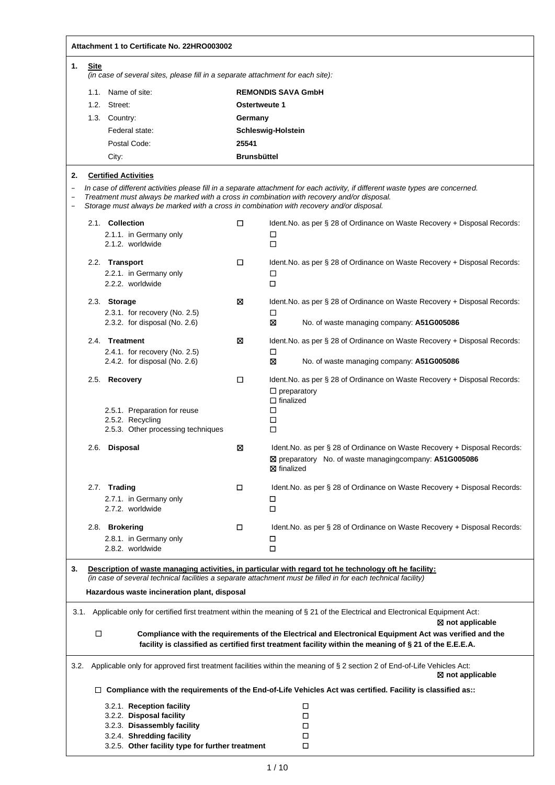|                                      |             | Attachment 1 to Certificate No. 22HRO003002                                                                                                                                            |                    |                                                                                                                                                                                                                         |
|--------------------------------------|-------------|----------------------------------------------------------------------------------------------------------------------------------------------------------------------------------------|--------------------|-------------------------------------------------------------------------------------------------------------------------------------------------------------------------------------------------------------------------|
| 1.                                   | <b>Site</b> |                                                                                                                                                                                        |                    |                                                                                                                                                                                                                         |
|                                      |             | (in case of several sites, please fill in a separate attachment for each site):                                                                                                        |                    |                                                                                                                                                                                                                         |
|                                      |             | 1.1. Name of site:                                                                                                                                                                     |                    | <b>REMONDIS SAVA GmbH</b>                                                                                                                                                                                               |
| 1.2. Street:<br><b>Ostertweute 1</b> |             |                                                                                                                                                                                        |                    |                                                                                                                                                                                                                         |
|                                      |             | 1.3. Country:                                                                                                                                                                          | Germany            |                                                                                                                                                                                                                         |
|                                      |             | Federal state:                                                                                                                                                                         |                    | Schleswig-Holstein                                                                                                                                                                                                      |
|                                      |             | Postal Code:                                                                                                                                                                           | 25541              |                                                                                                                                                                                                                         |
|                                      |             | City:                                                                                                                                                                                  | <b>Brunsbüttel</b> |                                                                                                                                                                                                                         |
| 2.                                   |             | <b>Certified Activities</b>                                                                                                                                                            |                    |                                                                                                                                                                                                                         |
| $\overline{\phantom{0}}$             |             | Treatment must always be marked with a cross in combination with recovery and/or disposal.<br>Storage must always be marked with a cross in combination with recovery and/or disposal. |                    | In case of different activities please fill in a separate attachment for each activity, if different waste types are concerned.                                                                                         |
|                                      |             | 2.1. Collection<br>2.1.1. in Germany only<br>2.1.2. worldwide                                                                                                                          | □                  | Ident. No. as per § 28 of Ordinance on Waste Recovery + Disposal Records:<br>□<br>□                                                                                                                                     |
|                                      |             | 2.2. Transport<br>2.2.1. in Germany only<br>2.2.2. worldwide                                                                                                                           | □                  | Ident. No. as per § 28 of Ordinance on Waste Recovery + Disposal Records:<br>□<br>$\Box$                                                                                                                                |
|                                      |             | 2.3. Storage<br>2.3.1. for recovery (No. 2.5)                                                                                                                                          | ⊠                  | Ident. No. as per § 28 of Ordinance on Waste Recovery + Disposal Records:<br>□                                                                                                                                          |
|                                      |             | 2.3.2. for disposal (No. $2.6$ )                                                                                                                                                       |                    | ⊠<br>No. of waste managing company: A51G005086                                                                                                                                                                          |
|                                      |             | 2.4. Treatment                                                                                                                                                                         | ⊠                  | Ident. No. as per § 28 of Ordinance on Waste Recovery + Disposal Records:                                                                                                                                               |
|                                      |             | 2.4.1. for recovery (No. 2.5)<br>2.4.2. for disposal (No. $2.6$ )                                                                                                                      |                    | □<br>⊠<br>No. of waste managing company: A51G005086                                                                                                                                                                     |
|                                      |             | 2.5. Recovery<br>2.5.1. Preparation for reuse<br>2.5.2. Recycling                                                                                                                      | □                  | Ident. No. as per § 28 of Ordinance on Waste Recovery + Disposal Records:<br>$\Box$ preparatory<br>$\Box$ finalized<br>□<br>□                                                                                           |
|                                      |             | 2.5.3. Other processing techniques<br>2.6. Disposal                                                                                                                                    | ⊠                  | □<br>Ident. No. as per § 28 of Ordinance on Waste Recovery + Disposal Records:                                                                                                                                          |
|                                      |             |                                                                                                                                                                                        |                    | ⊠ preparatory No. of waste managingcompany: A51G005086<br>⊠ finalized                                                                                                                                                   |
|                                      |             | 2.7. Trading<br>2.7.1. in Germany only<br>2.7.2. worldwide                                                                                                                             | □                  | Ident. No. as per § 28 of Ordinance on Waste Recovery + Disposal Records:<br>□<br>$\Box$                                                                                                                                |
|                                      |             | 2.8. Brokering                                                                                                                                                                         | □                  | Ident. No. as per § 28 of Ordinance on Waste Recovery + Disposal Records:                                                                                                                                               |
|                                      |             | 2.8.1. in Germany only<br>2.8.2. worldwide                                                                                                                                             |                    | □<br>□                                                                                                                                                                                                                  |
|                                      |             |                                                                                                                                                                                        |                    |                                                                                                                                                                                                                         |
| 3.                                   |             |                                                                                                                                                                                        |                    | Description of waste managing activities, in particular with regard tot he technology oft he facility:<br>(in case of several technical facilities a separate attachment must be filled in for each technical facility) |
|                                      |             | Hazardous waste incineration plant, disposal                                                                                                                                           |                    |                                                                                                                                                                                                                         |
| 3.1.                                 |             |                                                                                                                                                                                        |                    | Applicable only for certified first treatment within the meaning of § 21 of the Electrical and Electronical Equipment Act:<br>$\boxtimes$ not applicable                                                                |
|                                      | □           |                                                                                                                                                                                        |                    | Compliance with the requirements of the Electrical and Electronical Equipment Act was verified and the<br>facility is classified as certified first treatment facility within the meaning of § 21 of the E.E.E.A.       |
| 3.2.                                 |             |                                                                                                                                                                                        |                    | Applicable only for approved first treatment facilities within the meaning of § 2 section 2 of End-of-Life Vehicles Act:<br>$\boxtimes$ not applicable                                                                  |
|                                      |             |                                                                                                                                                                                        |                    | $\Box$ Compliance with the requirements of the End-of-Life Vehicles Act was certified. Facility is classified as::                                                                                                      |
|                                      |             | 3.2.1. Reception facility                                                                                                                                                              |                    | □                                                                                                                                                                                                                       |
|                                      |             | 3.2.2. Disposal facility                                                                                                                                                               |                    | $\Box$                                                                                                                                                                                                                  |
|                                      |             | 3.2.3. Disassembly facility                                                                                                                                                            |                    | □                                                                                                                                                                                                                       |
|                                      |             | 3.2.4. Shredding facility<br>3.2.5. Other facility type for further treatment                                                                                                          |                    | □<br>□                                                                                                                                                                                                                  |
|                                      |             |                                                                                                                                                                                        |                    |                                                                                                                                                                                                                         |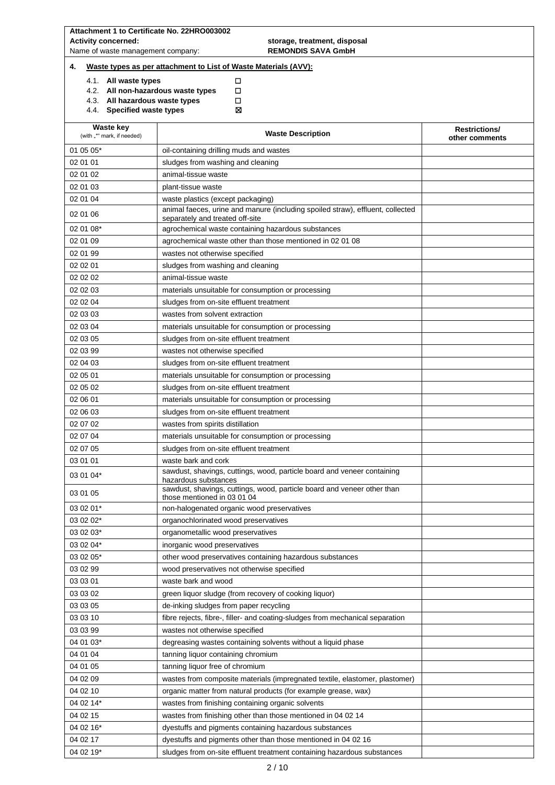| <b>Activity concerned:</b><br>Name of waste management company: | storage, treatment, disposal<br><b>REMONDIS SAVA GmbH</b>                                                         |                                        |
|-----------------------------------------------------------------|-------------------------------------------------------------------------------------------------------------------|----------------------------------------|
| 4.                                                              | Waste types as per attachment to List of Waste Materials (AVV):                                                   |                                        |
| 4.1. All waste types                                            | □                                                                                                                 |                                        |
| 4.2. All non-hazardous waste types                              | □                                                                                                                 |                                        |
| 4.3. All hazardous waste types<br>4.4. Specified waste types    | □<br>⊠                                                                                                            |                                        |
|                                                                 |                                                                                                                   |                                        |
| <b>Waste key</b><br>(with "*" mark, if needed)                  | <b>Waste Description</b>                                                                                          | <b>Restrictions/</b><br>other comments |
| 01 05 05*                                                       | oil-containing drilling muds and wastes                                                                           |                                        |
| 02 01 01                                                        | sludges from washing and cleaning                                                                                 |                                        |
| 02 01 02                                                        | animal-tissue waste                                                                                               |                                        |
| 02 01 03                                                        | plant-tissue waste                                                                                                |                                        |
| 02 01 04                                                        | waste plastics (except packaging)                                                                                 |                                        |
| 02 01 06                                                        | animal faeces, urine and manure (including spoiled straw), effluent, collected<br>separately and treated off-site |                                        |
| 02 01 08*                                                       | agrochemical waste containing hazardous substances                                                                |                                        |
| 02 01 09                                                        | agrochemical waste other than those mentioned in 02 01 08                                                         |                                        |
| 02 01 99                                                        | wastes not otherwise specified                                                                                    |                                        |
| 02 02 01                                                        | sludges from washing and cleaning                                                                                 |                                        |
| 02 02 02                                                        | animal-tissue waste                                                                                               |                                        |
| 02 02 03                                                        | materials unsuitable for consumption or processing                                                                |                                        |
| 02 02 04                                                        | sludges from on-site effluent treatment                                                                           |                                        |
| 02 03 03                                                        | wastes from solvent extraction                                                                                    |                                        |
| 02 03 04                                                        | materials unsuitable for consumption or processing                                                                |                                        |
| 02 03 05                                                        | sludges from on-site effluent treatment                                                                           |                                        |
| 02 03 99<br>02 04 03                                            | wastes not otherwise specified                                                                                    |                                        |
| 02 05 01                                                        | sludges from on-site effluent treatment<br>materials unsuitable for consumption or processing                     |                                        |
| 02 05 02                                                        | sludges from on-site effluent treatment                                                                           |                                        |
| 02 06 01                                                        | materials unsuitable for consumption or processing                                                                |                                        |
| 02 06 03                                                        | sludges from on-site effluent treatment                                                                           |                                        |
| 02 07 02                                                        | wastes from spirits distillation                                                                                  |                                        |
| 02 07 04                                                        | materials unsuitable for consumption or processing                                                                |                                        |
| 02 07 05                                                        | sludges from on-site effluent treatment                                                                           |                                        |
| 03 01 01                                                        | waste bark and cork                                                                                               |                                        |
| 03 01 04*                                                       | sawdust, shavings, cuttings, wood, particle board and veneer containing<br>hazardous substances                   |                                        |
| 03 01 05                                                        | sawdust, shavings, cuttings, wood, particle board and veneer other than<br>those mentioned in 03 01 04            |                                        |
| 03 02 01*                                                       | non-halogenated organic wood preservatives                                                                        |                                        |
| 03 02 02*                                                       | organochlorinated wood preservatives                                                                              |                                        |
| 03 02 03*                                                       | organometallic wood preservatives                                                                                 |                                        |
| 03 02 04*                                                       | inorganic wood preservatives                                                                                      |                                        |
| 03 02 05*                                                       | other wood preservatives containing hazardous substances                                                          |                                        |
| 03 02 99                                                        | wood preservatives not otherwise specified                                                                        |                                        |
| 03 03 01                                                        | waste bark and wood                                                                                               |                                        |
| 03 03 02                                                        | green liquor sludge (from recovery of cooking liquor)                                                             |                                        |
| 03 03 05                                                        | de-inking sludges from paper recycling                                                                            |                                        |
| 03 03 10<br>03 03 99                                            | fibre rejects, fibre-, filler- and coating-sludges from mechanical separation<br>wastes not otherwise specified   |                                        |
| 04 01 03*                                                       | degreasing wastes containing solvents without a liquid phase                                                      |                                        |
| 04 01 04                                                        | tanning liquor containing chromium                                                                                |                                        |
| 04 01 05                                                        | tanning liquor free of chromium                                                                                   |                                        |
| 04 02 09                                                        | wastes from composite materials (impregnated textile, elastomer, plastomer)                                       |                                        |
| 04 02 10                                                        | organic matter from natural products (for example grease, wax)                                                    |                                        |
| 04 02 14*                                                       | wastes from finishing containing organic solvents                                                                 |                                        |
| 04 02 15                                                        | wastes from finishing other than those mentioned in 04 02 14                                                      |                                        |
| 04 02 16*                                                       | dyestuffs and pigments containing hazardous substances                                                            |                                        |
| 04 02 17                                                        | dyestuffs and pigments other than those mentioned in 04 02 16                                                     |                                        |
| 04 02 19*                                                       | sludges from on-site effluent treatment containing hazardous substances                                           |                                        |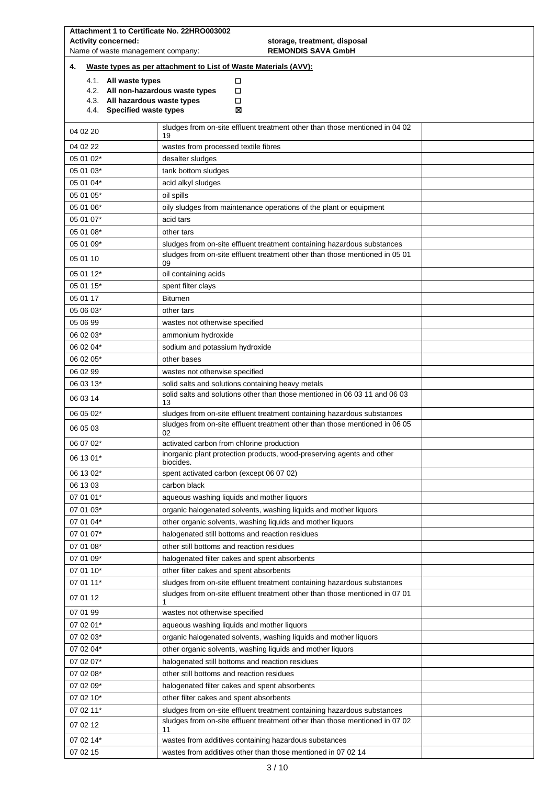| Attachment 1 to Certificate No. 22HRO003002                  |                                                                                   |  |  |  |  |
|--------------------------------------------------------------|-----------------------------------------------------------------------------------|--|--|--|--|
| <b>Activity concerned:</b>                                   | storage, treatment, disposal                                                      |  |  |  |  |
|                                                              | <b>REMONDIS SAVA GmbH</b><br>Name of waste management company:                    |  |  |  |  |
| 4.                                                           | Waste types as per attachment to List of Waste Materials (AVV):                   |  |  |  |  |
| 4.1. All waste types                                         | □                                                                                 |  |  |  |  |
| 4.2. All non-hazardous waste types                           | □                                                                                 |  |  |  |  |
| 4.3. All hazardous waste types<br>4.4. Specified waste types | □<br>⊠                                                                            |  |  |  |  |
|                                                              |                                                                                   |  |  |  |  |
| 04 02 20                                                     | sludges from on-site effluent treatment other than those mentioned in 04 02<br>19 |  |  |  |  |
| 04 02 22                                                     | wastes from processed textile fibres                                              |  |  |  |  |
| 05 01 02*                                                    | desalter sludges                                                                  |  |  |  |  |
| 05 01 03*                                                    | tank bottom sludges                                                               |  |  |  |  |
| 05 01 04*                                                    | acid alkyl sludges                                                                |  |  |  |  |
| 05 01 05*                                                    | oil spills                                                                        |  |  |  |  |
| 05 01 06*                                                    | oily sludges from maintenance operations of the plant or equipment                |  |  |  |  |
| 05 01 07*                                                    | acid tars                                                                         |  |  |  |  |
| 05 01 08*                                                    | other tars                                                                        |  |  |  |  |
| 05 01 09*                                                    | sludges from on-site effluent treatment containing hazardous substances           |  |  |  |  |
| 05 01 10                                                     | sludges from on-site effluent treatment other than those mentioned in 05 01<br>09 |  |  |  |  |
| 05 01 12*                                                    | oil containing acids                                                              |  |  |  |  |
| 05 01 15*                                                    | spent filter clays                                                                |  |  |  |  |
| 05 01 17                                                     | <b>Bitumen</b>                                                                    |  |  |  |  |
| 05 06 03*                                                    | other tars                                                                        |  |  |  |  |
| 05 06 99                                                     | wastes not otherwise specified                                                    |  |  |  |  |
| 06 02 03*                                                    | ammonium hydroxide                                                                |  |  |  |  |
| 06 02 04*                                                    | sodium and potassium hydroxide                                                    |  |  |  |  |
| 06 02 05*                                                    | other bases                                                                       |  |  |  |  |
| 06 02 99                                                     | wastes not otherwise specified                                                    |  |  |  |  |
| 06 03 13*                                                    | solid salts and solutions containing heavy metals                                 |  |  |  |  |
| 06 03 14                                                     | solid salts and solutions other than those mentioned in 06 03 11 and 06 03<br>13  |  |  |  |  |
| 06 05 02*                                                    | sludges from on-site effluent treatment containing hazardous substances           |  |  |  |  |
| 06 05 03                                                     | sludges from on-site effluent treatment other than those mentioned in 06 05<br>02 |  |  |  |  |
| 06 07 02*                                                    | activated carbon from chlorine production                                         |  |  |  |  |
| 06 13 01*                                                    | inorganic plant protection products, wood-preserving agents and other             |  |  |  |  |
| 06 13 02*                                                    | biocides.<br>spent activated carbon (except 06 07 02)                             |  |  |  |  |
| 06 13 03                                                     | carbon black                                                                      |  |  |  |  |
| 07 01 01*                                                    | aqueous washing liquids and mother liquors                                        |  |  |  |  |
| 07 01 03*                                                    | organic halogenated solvents, washing liquids and mother liquors                  |  |  |  |  |
| 07 01 04*                                                    | other organic solvents, washing liquids and mother liquors                        |  |  |  |  |
| 07 01 07*                                                    | halogenated still bottoms and reaction residues                                   |  |  |  |  |
| 07 01 08*                                                    | other still bottoms and reaction residues                                         |  |  |  |  |
| 07 01 09*                                                    | halogenated filter cakes and spent absorbents                                     |  |  |  |  |
| 07 01 10*                                                    | other filter cakes and spent absorbents                                           |  |  |  |  |
| 07 01 11*                                                    | sludges from on-site effluent treatment containing hazardous substances           |  |  |  |  |
| 07 01 12                                                     | sludges from on-site effluent treatment other than those mentioned in 07 01<br>1  |  |  |  |  |
| 07 01 99                                                     | wastes not otherwise specified                                                    |  |  |  |  |
| 07 02 01*                                                    | aqueous washing liquids and mother liquors                                        |  |  |  |  |
| 07 02 03*                                                    | organic halogenated solvents, washing liquids and mother liquors                  |  |  |  |  |
| 07 02 04*                                                    | other organic solvents, washing liquids and mother liquors                        |  |  |  |  |
| 07 02 07*                                                    | halogenated still bottoms and reaction residues                                   |  |  |  |  |
| 07 02 08*                                                    | other still bottoms and reaction residues                                         |  |  |  |  |
| 07 02 09*                                                    | halogenated filter cakes and spent absorbents                                     |  |  |  |  |
| 07 02 10*                                                    | other filter cakes and spent absorbents                                           |  |  |  |  |
| 07 02 11*                                                    | sludges from on-site effluent treatment containing hazardous substances           |  |  |  |  |
| 07 02 12                                                     | sludges from on-site effluent treatment other than those mentioned in 07 02<br>11 |  |  |  |  |
| 07 02 14*                                                    | wastes from additives containing hazardous substances                             |  |  |  |  |
| 07 02 15                                                     | wastes from additives other than those mentioned in 07 02 14                      |  |  |  |  |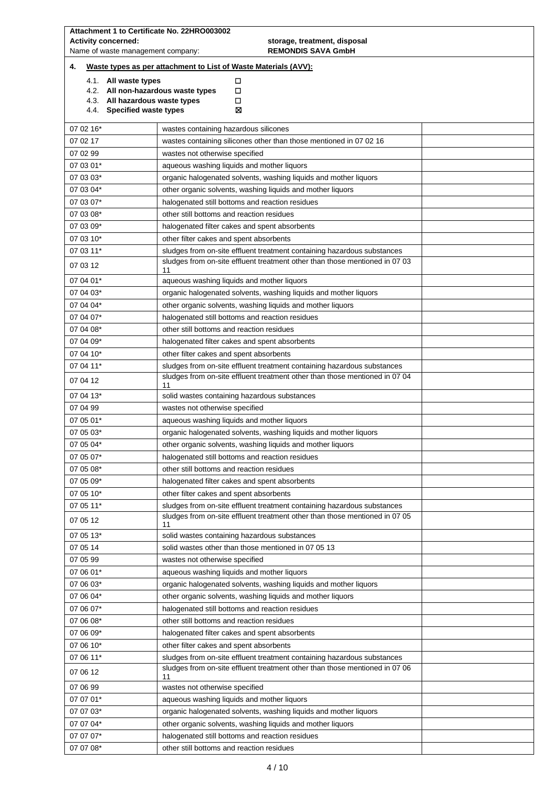| Attachment 1 to Certificate No. 22HRO003002                                               |                                                                                                                                                        |  |  |  |  |
|-------------------------------------------------------------------------------------------|--------------------------------------------------------------------------------------------------------------------------------------------------------|--|--|--|--|
| <b>Activity concerned:</b>                                                                | storage, treatment, disposal<br>Name of waste management company:                                                                                      |  |  |  |  |
|                                                                                           | <b>REMONDIS SAVA GmbH</b>                                                                                                                              |  |  |  |  |
| 4.                                                                                        | Waste types as per attachment to List of Waste Materials (AVV):                                                                                        |  |  |  |  |
| 4.1. All waste types                                                                      | □<br>4.2. All non-hazardous waste types<br>□                                                                                                           |  |  |  |  |
| 4.3. All hazardous waste types                                                            | □                                                                                                                                                      |  |  |  |  |
| 4.4. Specified waste types                                                                | ⊠                                                                                                                                                      |  |  |  |  |
| 07 02 16*                                                                                 | wastes containing hazardous silicones                                                                                                                  |  |  |  |  |
| 07 02 17                                                                                  | wastes containing silicones other than those mentioned in 07 02 16                                                                                     |  |  |  |  |
| 07 02 99                                                                                  | wastes not otherwise specified                                                                                                                         |  |  |  |  |
| 07 03 01*                                                                                 | aqueous washing liquids and mother liquors                                                                                                             |  |  |  |  |
| 07 03 03*                                                                                 | organic halogenated solvents, washing liquids and mother liquors                                                                                       |  |  |  |  |
| 07 03 04*                                                                                 | other organic solvents, washing liquids and mother liquors                                                                                             |  |  |  |  |
| 07 03 07*                                                                                 | halogenated still bottoms and reaction residues                                                                                                        |  |  |  |  |
| 07 03 08*                                                                                 | other still bottoms and reaction residues                                                                                                              |  |  |  |  |
| 07 03 09*                                                                                 | halogenated filter cakes and spent absorbents                                                                                                          |  |  |  |  |
| 07 03 10*                                                                                 | other filter cakes and spent absorbents                                                                                                                |  |  |  |  |
| 07 03 11*                                                                                 | sludges from on-site effluent treatment containing hazardous substances                                                                                |  |  |  |  |
| 07 03 12                                                                                  | sludges from on-site effluent treatment other than those mentioned in 07 03<br>11                                                                      |  |  |  |  |
| 07 04 01*                                                                                 | aqueous washing liquids and mother liquors                                                                                                             |  |  |  |  |
| 07 04 03*                                                                                 | organic halogenated solvents, washing liquids and mother liquors                                                                                       |  |  |  |  |
| 07 04 04*                                                                                 | other organic solvents, washing liquids and mother liquors                                                                                             |  |  |  |  |
| 07 04 07*                                                                                 | halogenated still bottoms and reaction residues                                                                                                        |  |  |  |  |
| 07 04 08*                                                                                 | other still bottoms and reaction residues                                                                                                              |  |  |  |  |
| 07 04 09*                                                                                 | halogenated filter cakes and spent absorbents                                                                                                          |  |  |  |  |
| 07 04 10*                                                                                 | other filter cakes and spent absorbents                                                                                                                |  |  |  |  |
| 07 04 11*                                                                                 | sludges from on-site effluent treatment containing hazardous substances                                                                                |  |  |  |  |
| 07 04 12                                                                                  | sludges from on-site effluent treatment other than those mentioned in 07 04<br>11                                                                      |  |  |  |  |
| 07 04 13*                                                                                 | solid wastes containing hazardous substances                                                                                                           |  |  |  |  |
| 07 04 99<br>wastes not otherwise specified                                                |                                                                                                                                                        |  |  |  |  |
| 07 05 01*                                                                                 | aqueous washing liquids and mother liquors                                                                                                             |  |  |  |  |
| 07 05 03*                                                                                 | organic halogenated solvents, washing liquids and mother liquors                                                                                       |  |  |  |  |
| 07 05 04*<br>other organic solvents, washing liquids and mother liquors                   |                                                                                                                                                        |  |  |  |  |
| 07 05 07*                                                                                 | halogenated still bottoms and reaction residues                                                                                                        |  |  |  |  |
| 07 05 08*                                                                                 | other still bottoms and reaction residues                                                                                                              |  |  |  |  |
| 07 05 09*                                                                                 | halogenated filter cakes and spent absorbents                                                                                                          |  |  |  |  |
| 07 05 10*                                                                                 | other filter cakes and spent absorbents                                                                                                                |  |  |  |  |
| 07 05 11*                                                                                 | sludges from on-site effluent treatment containing hazardous substances<br>sludges from on-site effluent treatment other than those mentioned in 07 05 |  |  |  |  |
| 07 05 12                                                                                  | 11                                                                                                                                                     |  |  |  |  |
| 07 05 13*                                                                                 | solid wastes containing hazardous substances                                                                                                           |  |  |  |  |
| 07 05 14                                                                                  | solid wastes other than those mentioned in 07 05 13                                                                                                    |  |  |  |  |
| 07 05 99                                                                                  | wastes not otherwise specified                                                                                                                         |  |  |  |  |
| 07 06 01*                                                                                 | aqueous washing liquids and mother liquors                                                                                                             |  |  |  |  |
| 07 06 03*                                                                                 | organic halogenated solvents, washing liquids and mother liquors                                                                                       |  |  |  |  |
| 07 06 04*                                                                                 | other organic solvents, washing liquids and mother liquors                                                                                             |  |  |  |  |
| 07 06 07*<br>07 06 08*                                                                    | halogenated still bottoms and reaction residues<br>other still bottoms and reaction residues                                                           |  |  |  |  |
| 07 06 09*                                                                                 | halogenated filter cakes and spent absorbents                                                                                                          |  |  |  |  |
| 07 06 10*                                                                                 | other filter cakes and spent absorbents                                                                                                                |  |  |  |  |
| 07 06 11*                                                                                 | sludges from on-site effluent treatment containing hazardous substances                                                                                |  |  |  |  |
| 07 06 12                                                                                  | sludges from on-site effluent treatment other than those mentioned in 07 06                                                                            |  |  |  |  |
| 11<br>07 06 99                                                                            |                                                                                                                                                        |  |  |  |  |
| wastes not otherwise specified<br>07 07 01*<br>aqueous washing liquids and mother liquors |                                                                                                                                                        |  |  |  |  |
| 07 07 03*<br>organic halogenated solvents, washing liquids and mother liquors             |                                                                                                                                                        |  |  |  |  |
| 07 07 04*                                                                                 | other organic solvents, washing liquids and mother liquors                                                                                             |  |  |  |  |
| 07 07 07*                                                                                 | halogenated still bottoms and reaction residues                                                                                                        |  |  |  |  |
| 07 07 08*                                                                                 | other still bottoms and reaction residues                                                                                                              |  |  |  |  |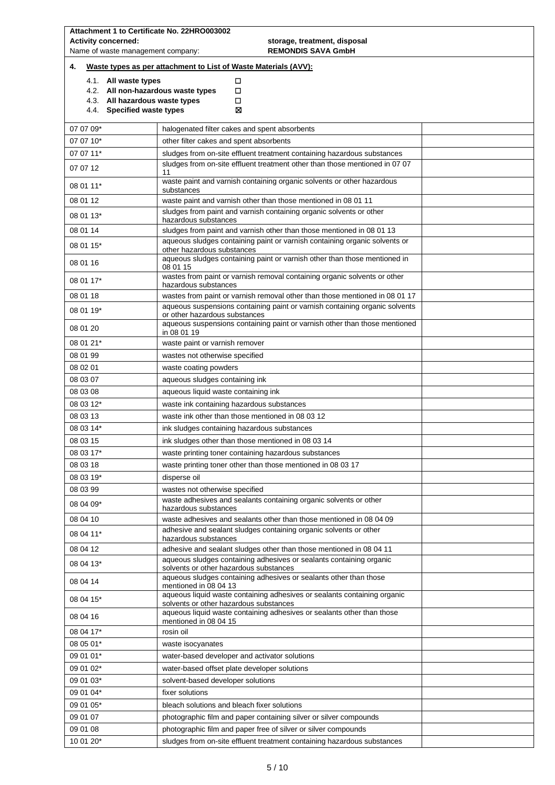| Attachment 1 to Certificate No. 22HRO003002                  |                                                                                                                    |  |  |  |  |
|--------------------------------------------------------------|--------------------------------------------------------------------------------------------------------------------|--|--|--|--|
| <b>Activity concerned:</b>                                   | storage, treatment, disposal                                                                                       |  |  |  |  |
| Name of waste management company:                            | <b>REMONDIS SAVA GmbH</b>                                                                                          |  |  |  |  |
| 4.                                                           | Waste types as per attachment to List of Waste Materials (AVV):                                                    |  |  |  |  |
| 4.1. All waste types                                         | □                                                                                                                  |  |  |  |  |
| 4.2. All non-hazardous waste types                           | □                                                                                                                  |  |  |  |  |
| 4.3. All hazardous waste types<br>4.4. Specified waste types | □<br>⊠                                                                                                             |  |  |  |  |
|                                                              |                                                                                                                    |  |  |  |  |
| 07 07 09*                                                    | halogenated filter cakes and spent absorbents                                                                      |  |  |  |  |
| 07 07 10*                                                    | other filter cakes and spent absorbents                                                                            |  |  |  |  |
| 07 07 11*                                                    | sludges from on-site effluent treatment containing hazardous substances                                            |  |  |  |  |
| 07 07 12                                                     | sludges from on-site effluent treatment other than those mentioned in 07 07<br>11                                  |  |  |  |  |
| 08 01 11*                                                    | waste paint and varnish containing organic solvents or other hazardous<br>substances                               |  |  |  |  |
| 08 01 12                                                     | waste paint and varnish other than those mentioned in 08 01 11                                                     |  |  |  |  |
| 08 01 13*                                                    | sludges from paint and varnish containing organic solvents or other<br>hazardous substances                        |  |  |  |  |
| 08 01 14                                                     | sludges from paint and varnish other than those mentioned in 08 01 13                                              |  |  |  |  |
| 08 01 15*                                                    | aqueous sludges containing paint or varnish containing organic solvents or<br>other hazardous substances           |  |  |  |  |
| 08 01 16                                                     | aqueous sludges containing paint or varnish other than those mentioned in<br>08 01 15                              |  |  |  |  |
| 08 01 17*                                                    | wastes from paint or varnish removal containing organic solvents or other<br>hazardous substances                  |  |  |  |  |
| 08 01 18                                                     | wastes from paint or varnish removal other than those mentioned in 08 01 17                                        |  |  |  |  |
| 08 01 19*                                                    | aqueous suspensions containing paint or varnish containing organic solvents<br>or other hazardous substances       |  |  |  |  |
| 08 01 20                                                     | aqueous suspensions containing paint or varnish other than those mentioned<br>in 08 01 19                          |  |  |  |  |
| 08 01 21*                                                    | waste paint or varnish remover                                                                                     |  |  |  |  |
| 08 01 99                                                     | wastes not otherwise specified                                                                                     |  |  |  |  |
| 08 02 01                                                     | waste coating powders                                                                                              |  |  |  |  |
| 08 03 07                                                     | aqueous sludges containing ink                                                                                     |  |  |  |  |
| 08 03 08                                                     | aqueous liquid waste containing ink                                                                                |  |  |  |  |
| 08 03 12*                                                    | waste ink containing hazardous substances                                                                          |  |  |  |  |
| 08 03 13                                                     | waste ink other than those mentioned in 08 03 12                                                                   |  |  |  |  |
| 08 03 14*                                                    | ink sludges containing hazardous substances                                                                        |  |  |  |  |
| 08 03 15                                                     | ink sludges other than those mentioned in 08 03 14                                                                 |  |  |  |  |
| 08 03 17*                                                    |                                                                                                                    |  |  |  |  |
|                                                              | waste printing toner containing hazardous substances                                                               |  |  |  |  |
| 08 03 18                                                     | waste printing toner other than those mentioned in 08 03 17                                                        |  |  |  |  |
| 08 03 19*                                                    | disperse oil                                                                                                       |  |  |  |  |
| 08 03 99                                                     | wastes not otherwise specified                                                                                     |  |  |  |  |
| 08 04 09*                                                    | waste adhesives and sealants containing organic solvents or other<br>hazardous substances                          |  |  |  |  |
| 08 04 10                                                     | waste adhesives and sealants other than those mentioned in 08 04 09                                                |  |  |  |  |
| 08 04 11*                                                    | adhesive and sealant sludges containing organic solvents or other<br>hazardous substances                          |  |  |  |  |
| 08 04 12                                                     | adhesive and sealant sludges other than those mentioned in 08 04 11                                                |  |  |  |  |
| 08 04 13*                                                    | aqueous sludges containing adhesives or sealants containing organic<br>solvents or other hazardous substances      |  |  |  |  |
| 08 04 14                                                     | aqueous sludges containing adhesives or sealants other than those<br>mentioned in 08 04 13                         |  |  |  |  |
| 08 04 15*                                                    | aqueous liquid waste containing adhesives or sealants containing organic<br>solvents or other hazardous substances |  |  |  |  |
| 08 04 16                                                     | aqueous liquid waste containing adhesives or sealants other than those<br>mentioned in 08 04 15                    |  |  |  |  |
| 08 04 17*                                                    | rosin oil                                                                                                          |  |  |  |  |
| 08 05 01*                                                    | waste isocyanates                                                                                                  |  |  |  |  |
| 09 01 01*                                                    | water-based developer and activator solutions                                                                      |  |  |  |  |
| 09 01 02*                                                    | water-based offset plate developer solutions                                                                       |  |  |  |  |
| 09 01 03*                                                    | solvent-based developer solutions                                                                                  |  |  |  |  |
| 09 01 04*                                                    | fixer solutions                                                                                                    |  |  |  |  |
| 09 01 05*                                                    | bleach solutions and bleach fixer solutions                                                                        |  |  |  |  |
| 09 01 07                                                     | photographic film and paper containing silver or silver compounds                                                  |  |  |  |  |
| 09 01 08                                                     | photographic film and paper free of silver or silver compounds                                                     |  |  |  |  |
| 10 01 20*                                                    |                                                                                                                    |  |  |  |  |
|                                                              | sludges from on-site effluent treatment containing hazardous substances                                            |  |  |  |  |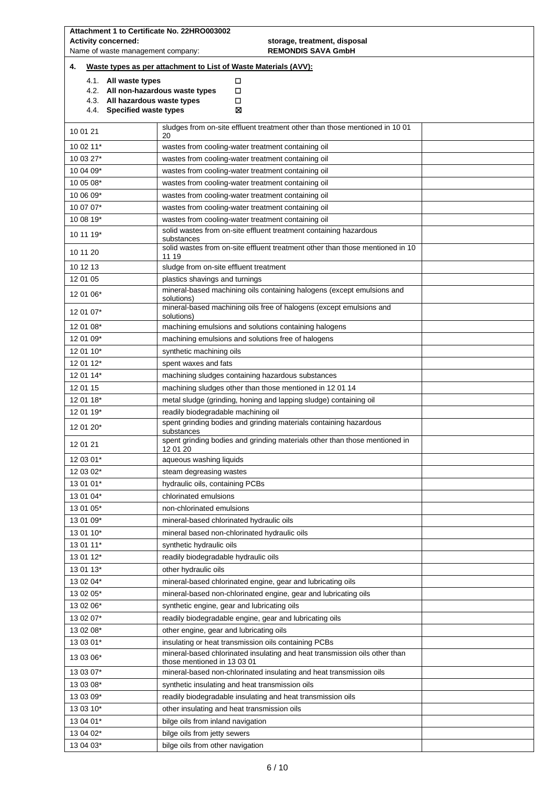| Attachment 1 to Certificate No. 22HRO003002<br><b>Activity concerned:</b><br>Name of waste management company:             | storage, treatment, disposal<br><b>REMONDIS SAVA GmbH</b>                                                                          |                                                                   |  |  |
|----------------------------------------------------------------------------------------------------------------------------|------------------------------------------------------------------------------------------------------------------------------------|-------------------------------------------------------------------|--|--|
| 4.                                                                                                                         | Waste types as per attachment to List of Waste Materials (AVV):                                                                    |                                                                   |  |  |
| 4.1. All waste types<br>4.2. All non-hazardous waste types<br>4.3. All hazardous waste types<br>4.4. Specified waste types | □<br>□<br>□<br>⊠                                                                                                                   |                                                                   |  |  |
| 10 01 21                                                                                                                   | sludges from on-site effluent treatment other than those mentioned in 10 01<br>20                                                  |                                                                   |  |  |
| 10 02 11*                                                                                                                  | wastes from cooling-water treatment containing oil                                                                                 |                                                                   |  |  |
| 10 03 27*                                                                                                                  | wastes from cooling-water treatment containing oil                                                                                 |                                                                   |  |  |
| 10 04 09*                                                                                                                  | wastes from cooling-water treatment containing oil                                                                                 |                                                                   |  |  |
| 10 05 08*                                                                                                                  | wastes from cooling-water treatment containing oil                                                                                 |                                                                   |  |  |
| 10 06 09*                                                                                                                  | wastes from cooling-water treatment containing oil                                                                                 |                                                                   |  |  |
| 10 07 07*                                                                                                                  | wastes from cooling-water treatment containing oil                                                                                 |                                                                   |  |  |
| 10 08 19*                                                                                                                  | wastes from cooling-water treatment containing oil                                                                                 |                                                                   |  |  |
| 10 11 19*                                                                                                                  | solid wastes from on-site effluent treatment containing hazardous<br>substances                                                    |                                                                   |  |  |
| 10 11 20                                                                                                                   | solid wastes from on-site effluent treatment other than those mentioned in 10<br>11 19                                             |                                                                   |  |  |
| 10 12 13                                                                                                                   | sludge from on-site effluent treatment                                                                                             |                                                                   |  |  |
| 12 01 05                                                                                                                   | plastics shavings and turnings                                                                                                     |                                                                   |  |  |
| 12 01 06*                                                                                                                  | mineral-based machining oils containing halogens (except emulsions and<br>solutions)                                               |                                                                   |  |  |
| 12 01 07*                                                                                                                  | mineral-based machining oils free of halogens (except emulsions and<br>solutions)                                                  |                                                                   |  |  |
| 12 01 08*                                                                                                                  | machining emulsions and solutions containing halogens                                                                              |                                                                   |  |  |
| 12 01 09*                                                                                                                  | machining emulsions and solutions free of halogens                                                                                 |                                                                   |  |  |
| 12 01 10*                                                                                                                  | synthetic machining oils                                                                                                           |                                                                   |  |  |
| 12 01 12*                                                                                                                  | spent waxes and fats                                                                                                               |                                                                   |  |  |
| 12 01 14*                                                                                                                  | machining sludges containing hazardous substances                                                                                  |                                                                   |  |  |
| 12 01 15                                                                                                                   | machining sludges other than those mentioned in 12 01 14                                                                           |                                                                   |  |  |
| 12 01 18*                                                                                                                  | metal sludge (grinding, honing and lapping sludge) containing oil                                                                  |                                                                   |  |  |
| 12 01 19*                                                                                                                  | readily biodegradable machining oil                                                                                                |                                                                   |  |  |
| 12 01 20*                                                                                                                  | substances                                                                                                                         | spent grinding bodies and grinding materials containing hazardous |  |  |
| 12 01 21                                                                                                                   | spent grinding bodies and grinding materials other than those mentioned in<br>12 01 20                                             |                                                                   |  |  |
| 12 03 01*                                                                                                                  | aqueous washing liquids                                                                                                            |                                                                   |  |  |
| 12 03 02*                                                                                                                  | steam degreasing wastes                                                                                                            |                                                                   |  |  |
| 13 01 01*                                                                                                                  | hydraulic oils, containing PCBs                                                                                                    |                                                                   |  |  |
| 13 01 04*                                                                                                                  | chlorinated emulsions                                                                                                              |                                                                   |  |  |
| 13 01 05*                                                                                                                  | non-chlorinated emulsions                                                                                                          |                                                                   |  |  |
| 13 01 09*                                                                                                                  | mineral-based chlorinated hydraulic oils                                                                                           |                                                                   |  |  |
| 13 01 10*                                                                                                                  | mineral based non-chlorinated hydraulic oils                                                                                       |                                                                   |  |  |
| 13 01 11*                                                                                                                  | synthetic hydraulic oils                                                                                                           |                                                                   |  |  |
| 13 01 12*                                                                                                                  | readily biodegradable hydraulic oils                                                                                               |                                                                   |  |  |
| 13 01 13*                                                                                                                  | other hydraulic oils                                                                                                               |                                                                   |  |  |
| 13 02 04*                                                                                                                  | mineral-based chlorinated engine, gear and lubricating oils                                                                        |                                                                   |  |  |
| 13 02 05*                                                                                                                  | mineral-based non-chlorinated engine, gear and lubricating oils                                                                    |                                                                   |  |  |
| 13 02 06*                                                                                                                  | synthetic engine, gear and lubricating oils                                                                                        |                                                                   |  |  |
| 13 02 07*                                                                                                                  | readily biodegradable engine, gear and lubricating oils                                                                            |                                                                   |  |  |
| 13 02 08*                                                                                                                  | other engine, gear and lubricating oils                                                                                            |                                                                   |  |  |
| 13 03 01*<br>13 03 06*                                                                                                     | insulating or heat transmission oils containing PCBs<br>mineral-based chlorinated insulating and heat transmission oils other than |                                                                   |  |  |
| 13 03 07*                                                                                                                  | those mentioned in 13 03 01<br>mineral-based non-chlorinated insulating and heat transmission oils                                 |                                                                   |  |  |
| 13 03 08*                                                                                                                  | synthetic insulating and heat transmission oils                                                                                    |                                                                   |  |  |
| 13 03 09*                                                                                                                  | readily biodegradable insulating and heat transmission oils                                                                        |                                                                   |  |  |
| 13 03 10*                                                                                                                  | other insulating and heat transmission oils                                                                                        |                                                                   |  |  |
| 13 04 01*                                                                                                                  | bilge oils from inland navigation                                                                                                  |                                                                   |  |  |
| 13 04 02*                                                                                                                  | bilge oils from jetty sewers                                                                                                       |                                                                   |  |  |
| 13 04 03*                                                                                                                  | bilge oils from other navigation                                                                                                   |                                                                   |  |  |
|                                                                                                                            |                                                                                                                                    |                                                                   |  |  |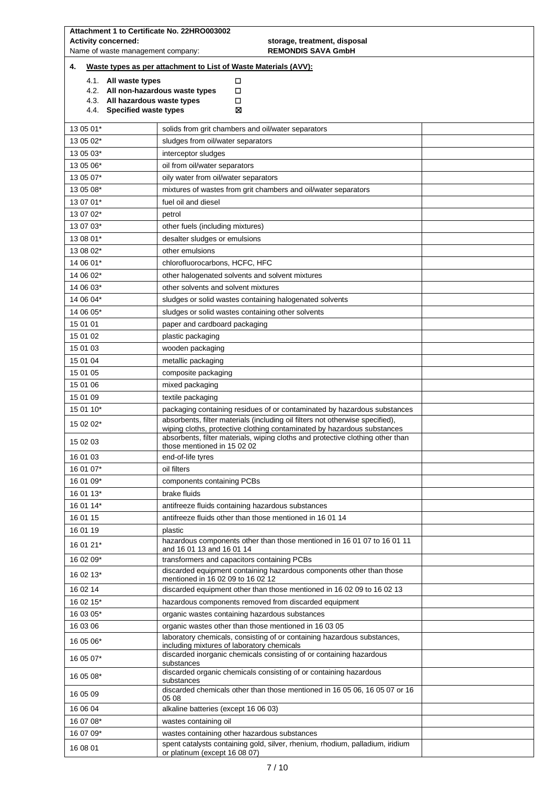|                                                                                                                           | Attachment 1 to Certificate No. 22HRO003002                                                                                  |  |  |  |  |
|---------------------------------------------------------------------------------------------------------------------------|------------------------------------------------------------------------------------------------------------------------------|--|--|--|--|
|                                                                                                                           | <b>Activity concerned:</b><br>storage, treatment, disposal<br>Name of waste management company:<br><b>REMONDIS SAVA GmbH</b> |  |  |  |  |
| 4.                                                                                                                        | Waste types as per attachment to List of Waste Materials (AVV):                                                              |  |  |  |  |
| 4.1. All waste types                                                                                                      | □                                                                                                                            |  |  |  |  |
| 4.2. All non-hazardous waste types<br>4.3. All hazardous waste types                                                      | □<br>□                                                                                                                       |  |  |  |  |
| 4.4. Specified waste types                                                                                                | ⊠                                                                                                                            |  |  |  |  |
| 13 05 01*                                                                                                                 | solids from grit chambers and oil/water separators                                                                           |  |  |  |  |
| 13 05 02*                                                                                                                 | sludges from oil/water separators                                                                                            |  |  |  |  |
| 13 05 03*                                                                                                                 | interceptor sludges                                                                                                          |  |  |  |  |
| 13 05 06*                                                                                                                 | oil from oil/water separators                                                                                                |  |  |  |  |
| 13 05 07*                                                                                                                 | oily water from oil/water separators                                                                                         |  |  |  |  |
| 13 05 08*                                                                                                                 | mixtures of wastes from grit chambers and oil/water separators                                                               |  |  |  |  |
| 13 07 01*<br>13 07 02*                                                                                                    | fuel oil and diesel                                                                                                          |  |  |  |  |
| 13 07 03*                                                                                                                 | petrol<br>other fuels (including mixtures)                                                                                   |  |  |  |  |
| 13 08 01*                                                                                                                 | desalter sludges or emulsions                                                                                                |  |  |  |  |
| 13 08 02*                                                                                                                 | other emulsions                                                                                                              |  |  |  |  |
| 14 06 01*                                                                                                                 | chlorofluorocarbons, HCFC, HFC                                                                                               |  |  |  |  |
| 14 06 02*                                                                                                                 | other halogenated solvents and solvent mixtures                                                                              |  |  |  |  |
| 14 06 03*                                                                                                                 | other solvents and solvent mixtures                                                                                          |  |  |  |  |
| 14 06 04*                                                                                                                 | sludges or solid wastes containing halogenated solvents                                                                      |  |  |  |  |
| 14 06 05*                                                                                                                 | sludges or solid wastes containing other solvents                                                                            |  |  |  |  |
| 15 01 01                                                                                                                  | paper and cardboard packaging                                                                                                |  |  |  |  |
| 15 01 02                                                                                                                  | plastic packaging                                                                                                            |  |  |  |  |
| 15 01 03                                                                                                                  | wooden packaging                                                                                                             |  |  |  |  |
| 15 01 04                                                                                                                  | metallic packaging                                                                                                           |  |  |  |  |
|                                                                                                                           | 15 01 05<br>composite packaging                                                                                              |  |  |  |  |
|                                                                                                                           | 15 01 06<br>mixed packaging                                                                                                  |  |  |  |  |
| 15 01 09<br>15 01 10*                                                                                                     | textile packaging<br>packaging containing residues of or contaminated by hazardous substances                                |  |  |  |  |
|                                                                                                                           | absorbents, filter materials (including oil filters not otherwise specified),                                                |  |  |  |  |
| 15 02 02*                                                                                                                 | wiping cloths, protective clothing contaminated by hazardous substances                                                      |  |  |  |  |
| absorbents, filter materials, wiping cloths and protective clothing other than<br>15 02 03<br>those mentioned in 15 02 02 |                                                                                                                              |  |  |  |  |
| 16 01 03                                                                                                                  | end-of-life tyres                                                                                                            |  |  |  |  |
| 16 01 07*                                                                                                                 | oil filters                                                                                                                  |  |  |  |  |
| 16 01 09*                                                                                                                 | components containing PCBs                                                                                                   |  |  |  |  |
| 16 01 13*                                                                                                                 | brake fluids                                                                                                                 |  |  |  |  |
| 16 01 14*                                                                                                                 | antifreeze fluids containing hazardous substances                                                                            |  |  |  |  |
| 16 01 15                                                                                                                  | antifreeze fluids other than those mentioned in 16 01 14                                                                     |  |  |  |  |
| 16 01 19                                                                                                                  | plastic<br>hazardous components other than those mentioned in 16 01 07 to 16 01 11                                           |  |  |  |  |
| 16 01 21*                                                                                                                 | and 16 01 13 and 16 01 14                                                                                                    |  |  |  |  |
| 16 02 09*                                                                                                                 | transformers and capacitors containing PCBs                                                                                  |  |  |  |  |
| 16 02 13*                                                                                                                 | discarded equipment containing hazardous components other than those<br>mentioned in 16 02 09 to 16 02 12                    |  |  |  |  |
| 16 02 14                                                                                                                  | discarded equipment other than those mentioned in 16 02 09 to 16 02 13                                                       |  |  |  |  |
| 16 02 15*                                                                                                                 | hazardous components removed from discarded equipment                                                                        |  |  |  |  |
| 16 03 05*                                                                                                                 | organic wastes containing hazardous substances                                                                               |  |  |  |  |
| 16 03 06                                                                                                                  | organic wastes other than those mentioned in 16 03 05                                                                        |  |  |  |  |
| 16 05 06*                                                                                                                 | laboratory chemicals, consisting of or containing hazardous substances,<br>including mixtures of laboratory chemicals        |  |  |  |  |
| 16 05 07*                                                                                                                 | discarded inorganic chemicals consisting of or containing hazardous<br>substances                                            |  |  |  |  |
| 16 05 08*                                                                                                                 | discarded organic chemicals consisting of or containing hazardous<br>substances                                              |  |  |  |  |
| 16 05 09                                                                                                                  | discarded chemicals other than those mentioned in 16 05 06, 16 05 07 or 16<br>05 08                                          |  |  |  |  |
| 16 06 04                                                                                                                  | alkaline batteries (except 16 06 03)                                                                                         |  |  |  |  |
| 16 07 08*<br>wastes containing oil                                                                                        |                                                                                                                              |  |  |  |  |
| 16 07 09*                                                                                                                 | wastes containing other hazardous substances                                                                                 |  |  |  |  |
| 16 08 01                                                                                                                  | spent catalysts containing gold, silver, rhenium, rhodium, palladium, iridium<br>or platinum (except 16 08 07)               |  |  |  |  |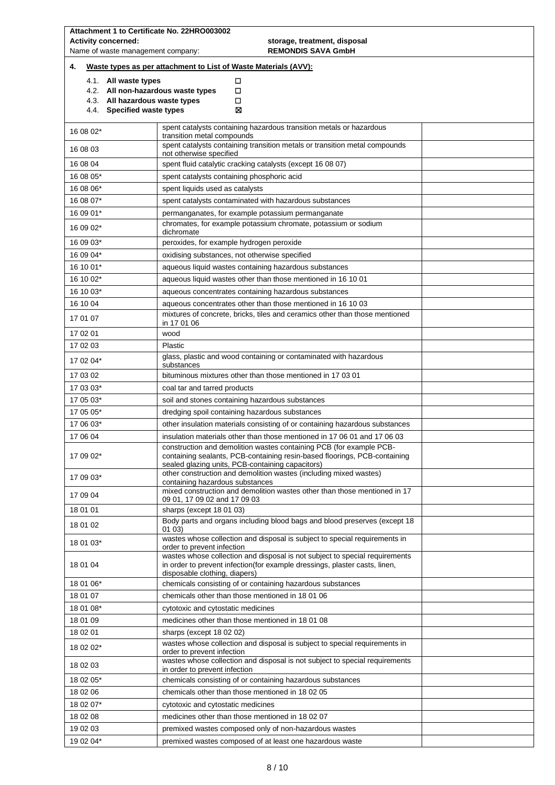|                                   | Attachment 1 to Certificate No. 22HRO003002                                                                                                                                                |  |  |
|-----------------------------------|--------------------------------------------------------------------------------------------------------------------------------------------------------------------------------------------|--|--|
| <b>Activity concerned:</b>        | storage, treatment, disposal                                                                                                                                                               |  |  |
| Name of waste management company: | <b>REMONDIS SAVA GmbH</b>                                                                                                                                                                  |  |  |
| 4.                                | Waste types as per attachment to List of Waste Materials (AVV):                                                                                                                            |  |  |
| 4.1. All waste types              | □                                                                                                                                                                                          |  |  |
|                                   | 4.2. All non-hazardous waste types<br>□                                                                                                                                                    |  |  |
| 4.4. Specified waste types        | 4.3. All hazardous waste types<br>□<br>⊠                                                                                                                                                   |  |  |
|                                   |                                                                                                                                                                                            |  |  |
| 16 08 02*                         | spent catalysts containing hazardous transition metals or hazardous<br>transition metal compounds                                                                                          |  |  |
| 16 08 03                          | spent catalysts containing transition metals or transition metal compounds                                                                                                                 |  |  |
| 16 08 04                          | not otherwise specified<br>spent fluid catalytic cracking catalysts (except 16 08 07)                                                                                                      |  |  |
| 16 08 05*                         | spent catalysts containing phosphoric acid                                                                                                                                                 |  |  |
| 16 08 06*                         | spent liquids used as catalysts                                                                                                                                                            |  |  |
| 16 08 07*                         | spent catalysts contaminated with hazardous substances                                                                                                                                     |  |  |
| 16 09 01*                         | permanganates, for example potassium permanganate                                                                                                                                          |  |  |
| 16 09 02*                         | chromates, for example potassium chromate, potassium or sodium                                                                                                                             |  |  |
| 16 09 03*                         | dichromate<br>peroxides, for example hydrogen peroxide                                                                                                                                     |  |  |
| 16 09 04*                         | oxidising substances, not otherwise specified                                                                                                                                              |  |  |
| 16 10 01*                         | aqueous liquid wastes containing hazardous substances                                                                                                                                      |  |  |
| 16 10 02*                         | aqueous liquid wastes other than those mentioned in 16 10 01                                                                                                                               |  |  |
| 16 10 03*                         | aqueous concentrates containing hazardous substances                                                                                                                                       |  |  |
| 16 10 04                          | aqueous concentrates other than those mentioned in 16 10 03                                                                                                                                |  |  |
| 17 01 07                          | mixtures of concrete, bricks, tiles and ceramics other than those mentioned<br>in 17 01 06                                                                                                 |  |  |
| 17 02 01                          | wood                                                                                                                                                                                       |  |  |
| 17 02 03                          | Plastic                                                                                                                                                                                    |  |  |
| 17 02 04*                         | glass, plastic and wood containing or contaminated with hazardous<br>substances                                                                                                            |  |  |
| 17 03 02                          | bituminous mixtures other than those mentioned in 17 03 01                                                                                                                                 |  |  |
| 17 03 03*                         | coal tar and tarred products                                                                                                                                                               |  |  |
| 17 05 03*                         | soil and stones containing hazardous substances                                                                                                                                            |  |  |
| 17 05 05*                         | dredging spoil containing hazardous substances                                                                                                                                             |  |  |
| 17 06 03*                         | other insulation materials consisting of or containing hazardous substances                                                                                                                |  |  |
| 17 06 04                          | insulation materials other than those mentioned in 17 06 01 and 17 06 03                                                                                                                   |  |  |
| 17 09 02*                         | construction and demolition wastes containing PCB (for example PCB-<br>containing sealants, PCB-containing resin-based floorings, PCB-containing                                           |  |  |
|                                   | sealed glazing units, PCB-containing capacitors)                                                                                                                                           |  |  |
| 17 09 03*                         | other construction and demolition wastes (including mixed wastes)<br>containing hazardous substances                                                                                       |  |  |
| 17 09 04                          | mixed construction and demolition wastes other than those mentioned in 17<br>09 01, 17 09 02 and 17 09 03                                                                                  |  |  |
| 18 01 01                          | sharps (except 18 01 03)                                                                                                                                                                   |  |  |
| 18 01 02                          | Body parts and organs including blood bags and blood preserves (except 18)                                                                                                                 |  |  |
|                                   | 01 03)<br>wastes whose collection and disposal is subject to special requirements in                                                                                                       |  |  |
| 18 01 03*                         | order to prevent infection                                                                                                                                                                 |  |  |
| 18 01 04                          | wastes whose collection and disposal is not subject to special requirements<br>in order to prevent infection(for example dressings, plaster casts, linen,<br>disposable clothing, diapers) |  |  |
| 18 01 06*                         | chemicals consisting of or containing hazardous substances                                                                                                                                 |  |  |
| 18 01 07                          | chemicals other than those mentioned in 180106                                                                                                                                             |  |  |
| 18 01 08*                         | cytotoxic and cytostatic medicines                                                                                                                                                         |  |  |
| 18 01 09                          | medicines other than those mentioned in 180108                                                                                                                                             |  |  |
| 18 02 01                          | sharps (except 18 02 02)                                                                                                                                                                   |  |  |
| 18 02 02*                         | wastes whose collection and disposal is subject to special requirements in<br>order to prevent infection                                                                                   |  |  |
| 18 02 03                          | wastes whose collection and disposal is not subject to special requirements<br>in order to prevent infection                                                                               |  |  |
| 18 02 05*                         | chemicals consisting of or containing hazardous substances                                                                                                                                 |  |  |
| 18 02 06                          | chemicals other than those mentioned in 180205                                                                                                                                             |  |  |
| 18 02 07*                         | cytotoxic and cytostatic medicines                                                                                                                                                         |  |  |
| 18 02 08                          | medicines other than those mentioned in 18 02 07                                                                                                                                           |  |  |
| 19 02 03                          | premixed wastes composed only of non-hazardous wastes                                                                                                                                      |  |  |
| 19 02 04*                         | premixed wastes composed of at least one hazardous waste                                                                                                                                   |  |  |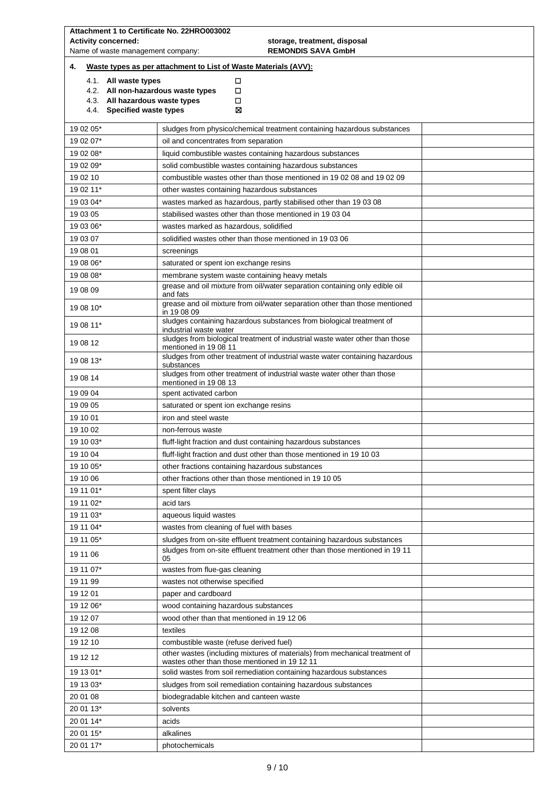| Attachment 1 to Certificate No. 22HRO003002<br><b>Activity concerned:</b><br>Name of waste management company: | storage, treatment, disposal<br><b>REMONDIS SAVA GmbH</b>                                                                                                            |  |  |  |
|----------------------------------------------------------------------------------------------------------------|----------------------------------------------------------------------------------------------------------------------------------------------------------------------|--|--|--|
| 4.                                                                                                             | Waste types as per attachment to List of Waste Materials (AVV):                                                                                                      |  |  |  |
|                                                                                                                | □<br>4.1. All waste types<br>4.2. All non-hazardous waste types<br>□<br>4.3. All hazardous waste types<br>□<br>4.4. Specified waste types<br>⊠                       |  |  |  |
| 19 02 05*                                                                                                      | sludges from physico/chemical treatment containing hazardous substances                                                                                              |  |  |  |
| 19 02 07*                                                                                                      | oil and concentrates from separation                                                                                                                                 |  |  |  |
| 19 02 08*                                                                                                      | liquid combustible wastes containing hazardous substances                                                                                                            |  |  |  |
| 19 02 09*                                                                                                      | solid combustible wastes containing hazardous substances                                                                                                             |  |  |  |
| 19 02 10                                                                                                       | combustible wastes other than those mentioned in 19 02 08 and 19 02 09                                                                                               |  |  |  |
| 19 02 11*                                                                                                      | other wastes containing hazardous substances                                                                                                                         |  |  |  |
| 19 03 04*                                                                                                      | wastes marked as hazardous, partly stabilised other than 19 03 08                                                                                                    |  |  |  |
| 19 03 05                                                                                                       | stabilised wastes other than those mentioned in 190304                                                                                                               |  |  |  |
| 19 03 06*                                                                                                      | wastes marked as hazardous, solidified                                                                                                                               |  |  |  |
| 19 03 07                                                                                                       | solidified wastes other than those mentioned in 190306                                                                                                               |  |  |  |
| 19 08 01                                                                                                       | screenings                                                                                                                                                           |  |  |  |
| 19 08 06*                                                                                                      | saturated or spent ion exchange resins                                                                                                                               |  |  |  |
| 19 08 08*<br>19 08 09                                                                                          | membrane system waste containing heavy metals<br>grease and oil mixture from oil/water separation containing only edible oil<br>and fats                             |  |  |  |
| 19 08 10*                                                                                                      | grease and oil mixture from oil/water separation other than those mentioned<br>in 190809                                                                             |  |  |  |
| 19 08 11*                                                                                                      | sludges containing hazardous substances from biological treatment of<br>industrial waste water                                                                       |  |  |  |
| 19 08 12                                                                                                       | sludges from biological treatment of industrial waste water other than those<br>mentioned in 19 08 11                                                                |  |  |  |
| 19 08 13*                                                                                                      | sludges from other treatment of industrial waste water containing hazardous<br>substances<br>sludges from other treatment of industrial waste water other than those |  |  |  |
| 19 08 14                                                                                                       | mentioned in 19 08 13                                                                                                                                                |  |  |  |
| 19 09 04                                                                                                       | spent activated carbon                                                                                                                                               |  |  |  |
| 19 09 05                                                                                                       | saturated or spent ion exchange resins                                                                                                                               |  |  |  |
| 19 10 01                                                                                                       | iron and steel waste                                                                                                                                                 |  |  |  |
| 19 10 02                                                                                                       | non-ferrous waste                                                                                                                                                    |  |  |  |
| 19 10 03*                                                                                                      | fluff-light fraction and dust containing hazardous substances                                                                                                        |  |  |  |
| 19 10 04                                                                                                       | fluff-light fraction and dust other than those mentioned in 19 10 03                                                                                                 |  |  |  |
| 19 10 05*                                                                                                      | other fractions containing hazardous substances                                                                                                                      |  |  |  |
| 19 10 06<br>19 11 01*                                                                                          | other fractions other than those mentioned in 19 10 05                                                                                                               |  |  |  |
| 19 11 02*                                                                                                      | spent filter clays<br>acid tars                                                                                                                                      |  |  |  |
| 19 11 03*                                                                                                      | aqueous liquid wastes                                                                                                                                                |  |  |  |
| 19 11 04*                                                                                                      | wastes from cleaning of fuel with bases                                                                                                                              |  |  |  |
| 19 11 05*                                                                                                      | sludges from on-site effluent treatment containing hazardous substances                                                                                              |  |  |  |
| 19 11 06                                                                                                       | sludges from on-site effluent treatment other than those mentioned in 19 11<br>05                                                                                    |  |  |  |
| 19 11 07*                                                                                                      | wastes from flue-gas cleaning                                                                                                                                        |  |  |  |
| 19 11 99                                                                                                       | wastes not otherwise specified                                                                                                                                       |  |  |  |
| 19 12 01                                                                                                       | paper and cardboard                                                                                                                                                  |  |  |  |
| 19 12 06*                                                                                                      | wood containing hazardous substances                                                                                                                                 |  |  |  |
| 19 12 07                                                                                                       | wood other than that mentioned in 19 12 06                                                                                                                           |  |  |  |
| 19 12 08                                                                                                       | textiles                                                                                                                                                             |  |  |  |
| 19 12 10<br>19 12 12                                                                                           | combustible waste (refuse derived fuel)<br>other wastes (including mixtures of materials) from mechanical treatment of                                               |  |  |  |
| 19 13 01*                                                                                                      | wastes other than those mentioned in 19 12 11                                                                                                                        |  |  |  |
| 19 13 03*                                                                                                      | solid wastes from soil remediation containing hazardous substances<br>sludges from soil remediation containing hazardous substances                                  |  |  |  |
| 20 01 08                                                                                                       | biodegradable kitchen and canteen waste                                                                                                                              |  |  |  |
| 20 01 13*<br>solvents                                                                                          |                                                                                                                                                                      |  |  |  |
| 20 01 14*                                                                                                      | acids                                                                                                                                                                |  |  |  |
| 20 01 15*                                                                                                      | alkalines                                                                                                                                                            |  |  |  |
| 20 01 17*                                                                                                      | photochemicals                                                                                                                                                       |  |  |  |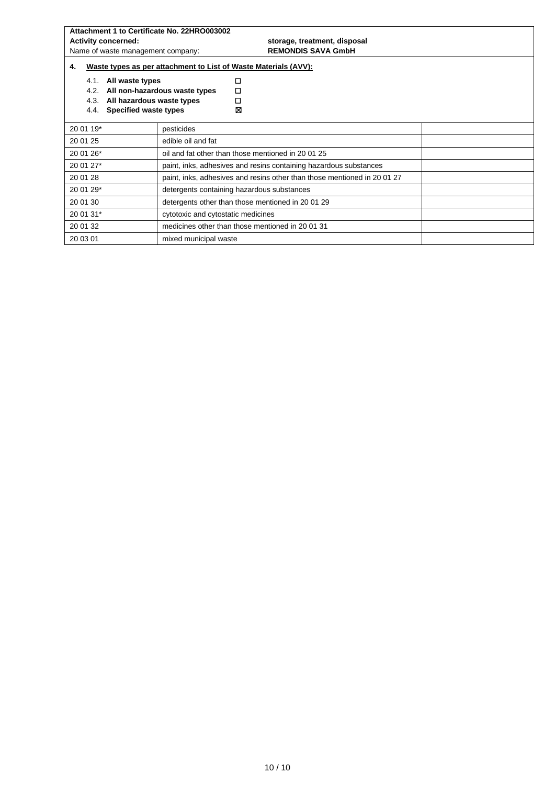| Attachment 1 to Certificate No. 22HRO003002                 |                                                                        |  |  |  |
|-------------------------------------------------------------|------------------------------------------------------------------------|--|--|--|
| <b>Activity concerned:</b><br>storage, treatment, disposal  |                                                                        |  |  |  |
| Name of waste management company:                           | <b>REMONDIS SAVA GmbH</b>                                              |  |  |  |
| 4.                                                          | Waste types as per attachment to List of Waste Materials (AVV):        |  |  |  |
| All waste types<br>4.1.                                     | □                                                                      |  |  |  |
| 4.2.<br>All non-hazardous waste types                       | □                                                                      |  |  |  |
| 4.3.<br>All hazardous waste types                           | □                                                                      |  |  |  |
| Specified waste types<br>4.4.                               | ⊠                                                                      |  |  |  |
| 20 01 19*<br>pesticides                                     |                                                                        |  |  |  |
| 20 01 25<br>edible oil and fat                              |                                                                        |  |  |  |
| 20 01 26*                                                   | oil and fat other than those mentioned in 2001 25                      |  |  |  |
| 20 01 27*                                                   | paint, inks, adhesives and resins containing hazardous substances      |  |  |  |
| 20 01 28                                                    | paint, inks, adhesives and resins other than those mentioned in 200127 |  |  |  |
| 20 01 29*                                                   | detergents containing hazardous substances                             |  |  |  |
| 20 01 30<br>detergents other than those mentioned in 200129 |                                                                        |  |  |  |
| 20 01 31*                                                   | cytotoxic and cytostatic medicines                                     |  |  |  |
| 20 01 32                                                    | medicines other than those mentioned in 2001 31                        |  |  |  |
| 20 03 01                                                    | mixed municipal waste                                                  |  |  |  |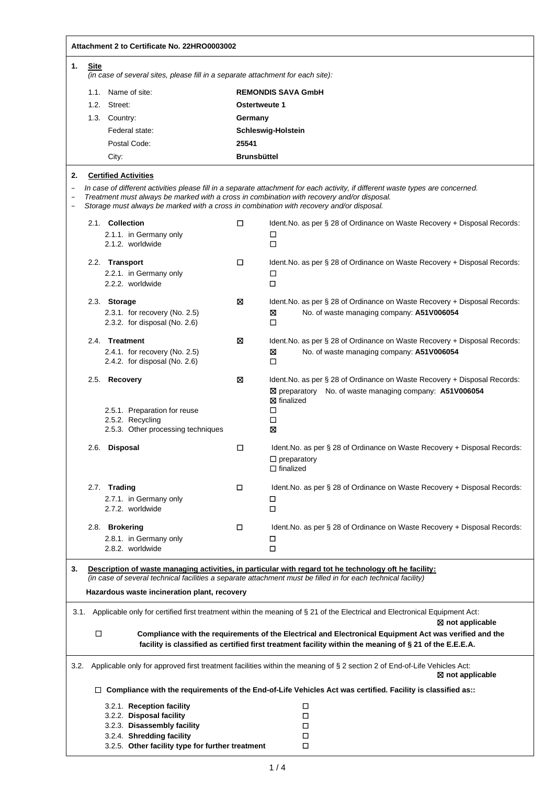|                   | Attachment 2 to Certificate No. 22HRO0003002                                                                            |               |                                                                                                                                                                                                                               |  |  |
|-------------------|-------------------------------------------------------------------------------------------------------------------------|---------------|-------------------------------------------------------------------------------------------------------------------------------------------------------------------------------------------------------------------------------|--|--|
| 1.<br><b>Site</b> | (in case of several sites, please fill in a separate attachment for each site):                                         |               |                                                                                                                                                                                                                               |  |  |
|                   | 1.1. Name of site:                                                                                                      |               | <b>REMONDIS SAVA GmbH</b>                                                                                                                                                                                                     |  |  |
|                   | 1.2. Street:                                                                                                            | Ostertweute 1 |                                                                                                                                                                                                                               |  |  |
|                   | 1.3. Country:                                                                                                           | Germany       |                                                                                                                                                                                                                               |  |  |
|                   | Federal state:                                                                                                          |               | Schleswig-Holstein                                                                                                                                                                                                            |  |  |
|                   | Postal Code:                                                                                                            | 25541         |                                                                                                                                                                                                                               |  |  |
|                   | City:                                                                                                                   |               | <b>Brunsbüttel</b>                                                                                                                                                                                                            |  |  |
|                   |                                                                                                                         |               |                                                                                                                                                                                                                               |  |  |
|                   | <b>Certified Activities</b><br>Storage must always be marked with a cross in combination with recovery and/or disposal. |               | In case of different activities please fill in a separate attachment for each activity, if different waste types are concerned.<br>Treatment must always be marked with a cross in combination with recovery and/or disposal. |  |  |
|                   | 2.1. Collection<br>2.1.1. in Germany only                                                                               | □             | Ident. No. as per § 28 of Ordinance on Waste Recovery + Disposal Records:<br>□                                                                                                                                                |  |  |
|                   | 2.1.2. worldwide                                                                                                        |               | □                                                                                                                                                                                                                             |  |  |
|                   |                                                                                                                         | □             |                                                                                                                                                                                                                               |  |  |
|                   | 2.2. Transport<br>2.2.1. in Germany only                                                                                |               | Ident. No. as per § 28 of Ordinance on Waste Recovery + Disposal Records:<br>□                                                                                                                                                |  |  |
|                   | 2.2.2. worldwide                                                                                                        |               | □                                                                                                                                                                                                                             |  |  |
|                   |                                                                                                                         |               |                                                                                                                                                                                                                               |  |  |
|                   | 2.3. Storage                                                                                                            | ⊠             | Ident. No. as per § 28 of Ordinance on Waste Recovery + Disposal Records:                                                                                                                                                     |  |  |
|                   | 2.3.1. for recovery (No. 2.5)<br>2.3.2. for disposal (No. 2.6)                                                          |               | ⊠<br>No. of waste managing company: A51V006054<br>□                                                                                                                                                                           |  |  |
|                   | 2.4. Treatment                                                                                                          | ⊠             | Ident. No. as per § 28 of Ordinance on Waste Recovery + Disposal Records:                                                                                                                                                     |  |  |
|                   | 2.4.1. for recovery (No. 2.5)<br>2.4.2. for disposal (No. $2.6$ )                                                       |               | ⊠<br>No. of waste managing company: A51V006054<br>□                                                                                                                                                                           |  |  |
|                   | 2.5. Recovery<br>2.5.1. Preparation for reuse<br>2.5.2. Recycling<br>2.5.3. Other processing techniques                 | ⊠             | Ident. No. as per § 28 of Ordinance on Waste Recovery + Disposal Records:<br>⊠ preparatory No. of waste managing company: A51V006054<br><b>X</b> finalized<br>□<br>□<br>⊠                                                     |  |  |
|                   | 2.6. Disposal                                                                                                           | □             | Ident. No. as per § 28 of Ordinance on Waste Recovery + Disposal Records:<br>$\Box$ preparatory<br>$\Box$ finalized                                                                                                           |  |  |
|                   | 2.7. Trading                                                                                                            | □             | Ident. No. as per § 28 of Ordinance on Waste Recovery + Disposal Records:                                                                                                                                                     |  |  |
|                   | 2.7.1. in Germany only<br>2.7.2. worldwide                                                                              |               | □<br>$\Box$                                                                                                                                                                                                                   |  |  |
|                   | 2.8. Brokering                                                                                                          | □             | Ident. No. as per § 28 of Ordinance on Waste Recovery + Disposal Records:                                                                                                                                                     |  |  |
|                   | 2.8.1. in Germany only<br>2.8.2. worldwide                                                                              |               | □<br>□                                                                                                                                                                                                                        |  |  |
|                   | Hazardous waste incineration plant, recovery                                                                            |               | Description of waste managing activities, in particular with regard tot he technology oft he facility:<br>(in case of several technical facilities a separate attachment must be filled in for each technical facility)       |  |  |
| 3.1.              |                                                                                                                         |               | Applicable only for certified first treatment within the meaning of § 21 of the Electrical and Electronical Equipment Act:<br>⊠ not applicable                                                                                |  |  |
| □                 |                                                                                                                         |               | Compliance with the requirements of the Electrical and Electronical Equipment Act was verified and the<br>facility is classified as certified first treatment facility within the meaning of § 21 of the E.E.E.A.             |  |  |
| 3.2.              |                                                                                                                         |               | Applicable only for approved first treatment facilities within the meaning of § 2 section 2 of End-of-Life Vehicles Act:<br>⊠ not applicable                                                                                  |  |  |
|                   |                                                                                                                         |               | $\Box$ Compliance with the requirements of the End-of-Life Vehicles Act was certified. Facility is classified as::                                                                                                            |  |  |
|                   | 3.2.1. Reception facility                                                                                               |               | □                                                                                                                                                                                                                             |  |  |
|                   | 3.2.2. Disposal facility<br>3.2.3. Disassembly facility                                                                 |               | □<br>□                                                                                                                                                                                                                        |  |  |
|                   | 3.2.4. Shredding facility                                                                                               |               | □                                                                                                                                                                                                                             |  |  |
|                   | 3.2.5. Other facility type for further treatment                                                                        |               | □                                                                                                                                                                                                                             |  |  |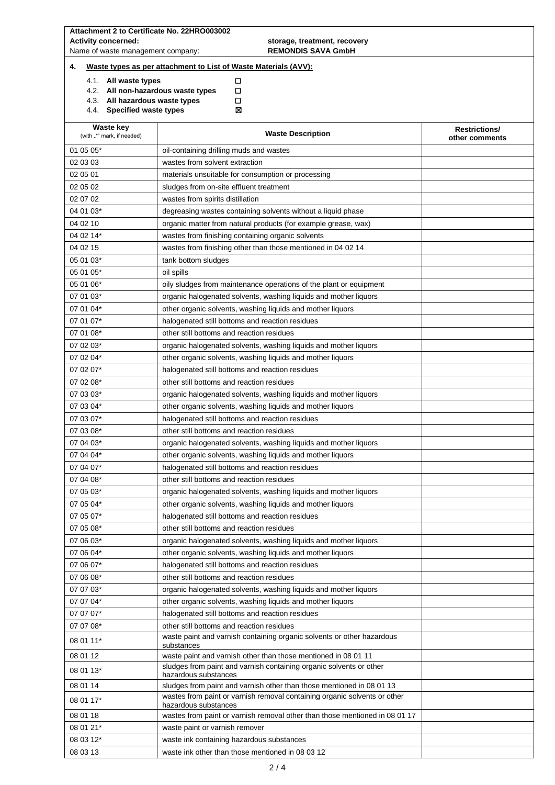|    |                        | <b>Activity concerned:</b><br>Name of waste management company: | storage, treatment, recovery<br><b>REMONDIS SAVA GmbH</b>                                                                      |                                        |
|----|------------------------|-----------------------------------------------------------------|--------------------------------------------------------------------------------------------------------------------------------|----------------------------------------|
| 4. |                        |                                                                 | Waste types as per attachment to List of Waste Materials (AVV):                                                                |                                        |
|    |                        | 4.1. All waste types                                            | □                                                                                                                              |                                        |
|    |                        |                                                                 | 4.2. All non-hazardous waste types<br>□                                                                                        |                                        |
|    |                        | 4.3. All hazardous waste types<br>4.4. Specified waste types    | П<br>⊠                                                                                                                         |                                        |
|    |                        | <b>Waste key</b><br>(with "*" mark, if needed)                  | <b>Waste Description</b>                                                                                                       | <b>Restrictions/</b><br>other comments |
|    | 01 05 05*              |                                                                 | oil-containing drilling muds and wastes                                                                                        |                                        |
|    | 02 03 03               |                                                                 | wastes from solvent extraction                                                                                                 |                                        |
|    | 02 05 01               |                                                                 | materials unsuitable for consumption or processing                                                                             |                                        |
|    | 02 05 02               |                                                                 | sludges from on-site effluent treatment                                                                                        |                                        |
|    | 02 07 02               |                                                                 | wastes from spirits distillation                                                                                               |                                        |
|    | 04 01 03*              |                                                                 | degreasing wastes containing solvents without a liquid phase                                                                   |                                        |
|    | 04 02 10               |                                                                 | organic matter from natural products (for example grease, wax)                                                                 |                                        |
|    | 04 02 14*              |                                                                 | wastes from finishing containing organic solvents                                                                              |                                        |
|    | 04 02 15               |                                                                 | wastes from finishing other than those mentioned in 04 02 14                                                                   |                                        |
|    | 05 01 03*              |                                                                 | tank bottom sludges                                                                                                            |                                        |
|    | 05 01 05*              |                                                                 | oil spills                                                                                                                     |                                        |
|    | 05 01 06*              |                                                                 | oily sludges from maintenance operations of the plant or equipment                                                             |                                        |
|    | 07 01 03*              |                                                                 | organic halogenated solvents, washing liquids and mother liquors                                                               |                                        |
|    | 07 01 04*              |                                                                 | other organic solvents, washing liquids and mother liquors                                                                     |                                        |
|    | 07 01 07*              |                                                                 | halogenated still bottoms and reaction residues                                                                                |                                        |
|    | 07 01 08*<br>07 02 03* |                                                                 | other still bottoms and reaction residues<br>organic halogenated solvents, washing liquids and mother liquors                  |                                        |
|    | 07 02 04*              |                                                                 | other organic solvents, washing liquids and mother liquors                                                                     |                                        |
|    | 07 02 07*              |                                                                 | halogenated still bottoms and reaction residues                                                                                |                                        |
|    | 07 02 08*              |                                                                 | other still bottoms and reaction residues                                                                                      |                                        |
|    | 07 03 03*              |                                                                 | organic halogenated solvents, washing liquids and mother liquors                                                               |                                        |
|    | 07 03 04*              |                                                                 | other organic solvents, washing liquids and mother liquors                                                                     |                                        |
|    | 07 03 07*              |                                                                 | halogenated still bottoms and reaction residues                                                                                |                                        |
|    | 07 03 08*              |                                                                 | other still bottoms and reaction residues                                                                                      |                                        |
|    | 07 04 03*              |                                                                 | organic halogenated solvents, washing liquids and mother liquors                                                               |                                        |
|    | 07 04 04*              |                                                                 | other organic solvents, washing liquids and mother liquors                                                                     |                                        |
|    | 07 04 07*              |                                                                 | halogenated still bottoms and reaction residues                                                                                |                                        |
|    | 07 04 08*              |                                                                 | other still bottoms and reaction residues                                                                                      |                                        |
|    | 07 05 03*              |                                                                 | organic halogenated solvents, washing liquids and mother liquors                                                               |                                        |
|    | 07 05 04*              |                                                                 | other organic solvents, washing liquids and mother liquors                                                                     |                                        |
|    | 07 05 07*              |                                                                 | halogenated still bottoms and reaction residues                                                                                |                                        |
|    | 07 05 08*              |                                                                 | other still bottoms and reaction residues                                                                                      |                                        |
|    | 07 06 03*              |                                                                 | organic halogenated solvents, washing liquids and mother liquors                                                               |                                        |
|    | 07 06 04*              |                                                                 | other organic solvents, washing liquids and mother liquors                                                                     |                                        |
|    | 07 06 07*              |                                                                 | halogenated still bottoms and reaction residues                                                                                |                                        |
|    | 07 06 08*<br>07 07 03* |                                                                 | other still bottoms and reaction residues                                                                                      |                                        |
|    | 07 07 04*              |                                                                 | organic halogenated solvents, washing liquids and mother liquors<br>other organic solvents, washing liquids and mother liquors |                                        |
|    | 07 07 07*              |                                                                 | halogenated still bottoms and reaction residues                                                                                |                                        |
|    | 07 07 08*              |                                                                 | other still bottoms and reaction residues                                                                                      |                                        |
|    |                        |                                                                 | waste paint and varnish containing organic solvents or other hazardous                                                         |                                        |
|    | 08 01 11*              |                                                                 | substances                                                                                                                     |                                        |
|    | 08 01 12               |                                                                 | waste paint and varnish other than those mentioned in 08 01 11                                                                 |                                        |
|    | 08 01 13*              |                                                                 | sludges from paint and varnish containing organic solvents or other<br>hazardous substances                                    |                                        |
|    | 08 01 14               |                                                                 | sludges from paint and varnish other than those mentioned in 08 01 13                                                          |                                        |
|    | 08 01 17*              |                                                                 | wastes from paint or varnish removal containing organic solvents or other                                                      |                                        |
|    | 08 01 18               |                                                                 | hazardous substances<br>wastes from paint or varnish removal other than those mentioned in 08 01 17                            |                                        |
|    | 08 01 21*              |                                                                 | waste paint or varnish remover                                                                                                 |                                        |
|    | 08 03 12*              |                                                                 | waste ink containing hazardous substances                                                                                      |                                        |
|    | 08 03 13               |                                                                 | waste ink other than those mentioned in 08 03 12                                                                               |                                        |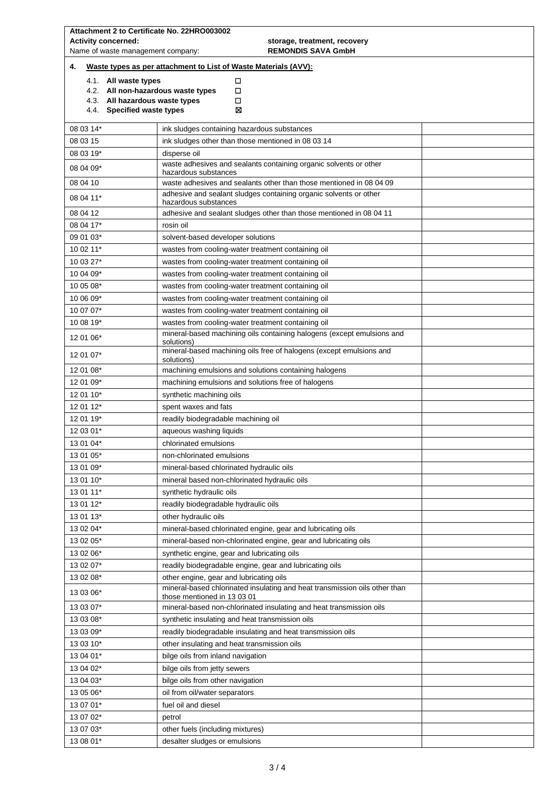| <b>Activity concerned:</b><br>storage, treatment, recovery<br>Name of waste management company:<br><b>REMONDIS SAVA GmbH</b> |                                                              |                                                                                                           |  |  |  |  |
|------------------------------------------------------------------------------------------------------------------------------|--------------------------------------------------------------|-----------------------------------------------------------------------------------------------------------|--|--|--|--|
| Waste types as per attachment to List of Waste Materials (AVV):<br>4.                                                        |                                                              |                                                                                                           |  |  |  |  |
|                                                                                                                              | 4.1. All waste types                                         | □                                                                                                         |  |  |  |  |
|                                                                                                                              |                                                              | 4.2. All non-hazardous waste types<br>□                                                                   |  |  |  |  |
|                                                                                                                              | 4.3. All hazardous waste types<br>4.4. Specified waste types | □<br>⊠                                                                                                    |  |  |  |  |
|                                                                                                                              |                                                              |                                                                                                           |  |  |  |  |
| 08 03 14*                                                                                                                    |                                                              | ink sludges containing hazardous substances                                                               |  |  |  |  |
| 08 03 15                                                                                                                     |                                                              | ink sludges other than those mentioned in 08 03 14                                                        |  |  |  |  |
| 08 03 19*                                                                                                                    |                                                              | disperse oil                                                                                              |  |  |  |  |
| 08 04 09*                                                                                                                    |                                                              | waste adhesives and sealants containing organic solvents or other<br>hazardous substances                 |  |  |  |  |
| 08 04 10                                                                                                                     |                                                              | waste adhesives and sealants other than those mentioned in 08 04 09                                       |  |  |  |  |
| 08 04 11*                                                                                                                    |                                                              | adhesive and sealant sludges containing organic solvents or other<br>hazardous substances                 |  |  |  |  |
| 08 04 12                                                                                                                     |                                                              | adhesive and sealant sludges other than those mentioned in 08 04 11                                       |  |  |  |  |
| 08 04 17*                                                                                                                    |                                                              | rosin oil                                                                                                 |  |  |  |  |
| 09 01 03*                                                                                                                    |                                                              | solvent-based developer solutions                                                                         |  |  |  |  |
| 10 02 11*                                                                                                                    |                                                              | wastes from cooling-water treatment containing oil                                                        |  |  |  |  |
| 10 03 27*                                                                                                                    |                                                              | wastes from cooling-water treatment containing oil                                                        |  |  |  |  |
| 10 04 09*                                                                                                                    |                                                              | wastes from cooling-water treatment containing oil                                                        |  |  |  |  |
| 10 05 08*                                                                                                                    |                                                              | wastes from cooling-water treatment containing oil                                                        |  |  |  |  |
| 10 06 09*                                                                                                                    |                                                              | wastes from cooling-water treatment containing oil                                                        |  |  |  |  |
| 10 07 07*                                                                                                                    |                                                              | wastes from cooling-water treatment containing oil                                                        |  |  |  |  |
| 10 08 19*                                                                                                                    |                                                              | wastes from cooling-water treatment containing oil                                                        |  |  |  |  |
| 12 01 06*                                                                                                                    |                                                              | mineral-based machining oils containing halogens (except emulsions and<br>solutions)                      |  |  |  |  |
| 12 01 07*                                                                                                                    |                                                              | mineral-based machining oils free of halogens (except emulsions and<br>solutions)                         |  |  |  |  |
| 12 01 08*                                                                                                                    |                                                              | machining emulsions and solutions containing halogens                                                     |  |  |  |  |
| 12 01 09*                                                                                                                    |                                                              | machining emulsions and solutions free of halogens                                                        |  |  |  |  |
| 12 01 10*                                                                                                                    |                                                              | synthetic machining oils                                                                                  |  |  |  |  |
| 12 01 12*                                                                                                                    |                                                              | spent waxes and fats                                                                                      |  |  |  |  |
| 12 01 19*                                                                                                                    |                                                              | readily biodegradable machining oil                                                                       |  |  |  |  |
| 12 03 01*                                                                                                                    |                                                              | aqueous washing liquids                                                                                   |  |  |  |  |
| 13 01 04*                                                                                                                    |                                                              | chlorinated emulsions                                                                                     |  |  |  |  |
| 13 01 05*                                                                                                                    |                                                              | non-chlorinated emulsions                                                                                 |  |  |  |  |
| 13 01 09*                                                                                                                    |                                                              | mineral-based chlorinated hydraulic oils                                                                  |  |  |  |  |
| 13 01 10*                                                                                                                    |                                                              | mineral based non-chlorinated hydraulic oils                                                              |  |  |  |  |
| 13 01 11*                                                                                                                    |                                                              | synthetic hydraulic oils                                                                                  |  |  |  |  |
| 13 01 12*                                                                                                                    |                                                              | readily biodegradable hydraulic oils                                                                      |  |  |  |  |
| 13 01 13*                                                                                                                    |                                                              | other hydraulic oils                                                                                      |  |  |  |  |
| 13 02 04*                                                                                                                    |                                                              | mineral-based chlorinated engine, gear and lubricating oils                                               |  |  |  |  |
| 13 02 05*                                                                                                                    |                                                              | mineral-based non-chlorinated engine, gear and lubricating oils                                           |  |  |  |  |
| 13 02 06*                                                                                                                    |                                                              | synthetic engine, gear and lubricating oils                                                               |  |  |  |  |
| 13 02 07*                                                                                                                    |                                                              | readily biodegradable engine, gear and lubricating oils                                                   |  |  |  |  |
| 13 02 08*                                                                                                                    |                                                              | other engine, gear and lubricating oils                                                                   |  |  |  |  |
| 13 03 06*                                                                                                                    |                                                              | mineral-based chlorinated insulating and heat transmission oils other than<br>those mentioned in 13 03 01 |  |  |  |  |
| 13 03 07*                                                                                                                    |                                                              | mineral-based non-chlorinated insulating and heat transmission oils                                       |  |  |  |  |
| 13 03 08*                                                                                                                    |                                                              | synthetic insulating and heat transmission oils                                                           |  |  |  |  |
| 13 03 09*                                                                                                                    |                                                              | readily biodegradable insulating and heat transmission oils                                               |  |  |  |  |
| 13 03 10*                                                                                                                    |                                                              | other insulating and heat transmission oils                                                               |  |  |  |  |
| 13 04 01*                                                                                                                    |                                                              | bilge oils from inland navigation                                                                         |  |  |  |  |
| 13 04 02*                                                                                                                    |                                                              | bilge oils from jetty sewers                                                                              |  |  |  |  |
| 13 04 03*                                                                                                                    |                                                              | bilge oils from other navigation                                                                          |  |  |  |  |
| 13 05 06*                                                                                                                    |                                                              | oil from oil/water separators                                                                             |  |  |  |  |
| 13 07 01*                                                                                                                    |                                                              | fuel oil and diesel                                                                                       |  |  |  |  |
| 13 07 02*                                                                                                                    |                                                              | petrol                                                                                                    |  |  |  |  |
| 13 07 03*                                                                                                                    |                                                              | other fuels (including mixtures)                                                                          |  |  |  |  |
| 13 08 01*                                                                                                                    |                                                              | desalter sludges or emulsions                                                                             |  |  |  |  |